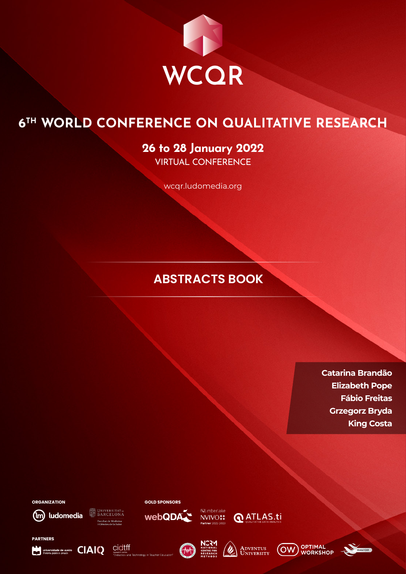

# **6TH WORLD CONFERENCE ON QUALITATIVE RESEARCH**

# **26 to 28 January 2022** VIRTUAL CONFERENCE

wcqr.ludomedia.org

# **ABSTRACTS BOOK**

**Catarina Brandão Elizabeth Pope Fábio Freitas Grzegorz Bryda King Costa**

**ORGANIZATION**

**PARTNERS**

(m) ludomedia

Universidade de aveiro **CIAIQ** 

**DINIVERSITATOE** Facultat de Medicina<br>i Ciències de la Salut

cidtff



**Example 12 ATLAS.ti**<br> **NVIVO‡ Q** ATLAS.ti

 $(f_{\text{int}})$ 





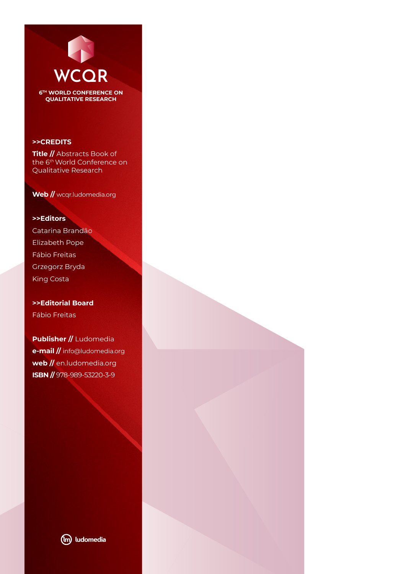

**>>CREDITS**

**Title //** Abstracts Book of the 6th World Conference on Qualitative Research

**Web //** wcqr.ludomedia.org

**>>Editors** Catarina Brandão Elizabeth Pope Fábio Freitas Grzegorz Bryda King Costa

**>>Editorial Board** Fábio Freitas

**Publisher //** Ludomedia **e-mail //** info@ludomedia.org **web //** en.ludomedia.org **ISBN //** 978-989-53220-3-9

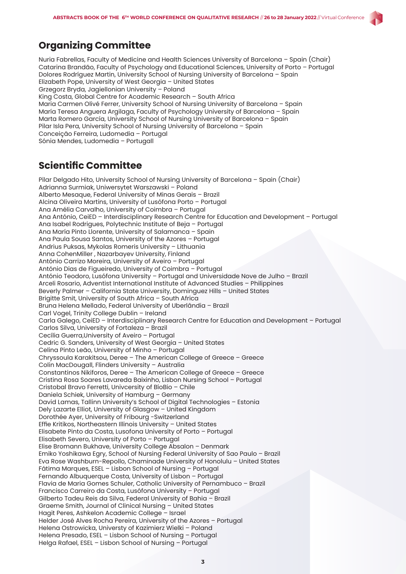

Nuria Fabrellas, Faculty of Medicine and Health Sciences University of Barcelona – Spain (Chair) Catarina Brandão, Faculty of Psychology and Educational Sciences, University of Porto – Portugal Dolores Rodríguez Martin, University School of Nursing University of Barcelona – Spain Elizabeth Pope, University of West Georgia – United States Grzegorz Bryda, Jagiellonian University – Poland King Costa, Global Centre for Academic Research – South Africa Maria Carmen Olivé Ferrer, University School of Nursing University of Barcelona – Spain María Teresa Anguera Argilaga, Faculty of Psychology University of Barcelona – Spain Marta Romero García, University School of Nursing University of Barcelona – Spain Pilar Isla Pera, University School of Nursing University of Barcelona – Spain Conceição Ferreira, Ludomedia – Portugal Sónia Mendes, Ludomedia – Portugall

# **Scientific Committee**

Pilar Delgado Hito, University School of Nursing University of Barcelona – Spain (Chair) Adrianna Surmiak, Uniwersytet Warszawski – Poland Alberto Mesaque, Federal University of Minas Gerais – Brazil Alcina Oliveira Martins, University of Lusófona Porto – Portugal Ana Amélia Carvalho, University of Coimbra – Portugal Ana António, CeiED – Interdisciplinary Research Centre for Education and Development – Portugal Ana Isabel Rodrigues, Polytechnic Institute of Beja – Portugal Ana María Pinto Llorente, University of Salamanca – Spain Ana Paula Sousa Santos, University of the Azores – Portugal Andrius Puksas, Mykolas Romeris University – Lithuania Anna CohenMiller , Nazarbayev University, Finland António Carrizo Moreira, University of Aveiro – Portugal António Dias de Figueiredo, University of Coimbra – Portugal António Teodoro, Lusófona University – Portugal and Universidade Nove de Julho – Brazil Arceli Rosario, Adventist International Institute of Advanced Studies – Philippines Beverly Palmer – California State University, Dominguez Hills – United States Brigitte Smit, University of South Africa – South Africa Bruna Helena Mellado, Federal University of Uberlândia – Brazil Carl Vogel, Trinity College Dublin – Ireland Carla Galego, CeiED – Interdisciplinary Research Centre for Education and Development – Portugal Carlos Silva, University of Fortaleza – Brazil Cecília Guerra,University of Aveiro – Portugal Cedric G. Sanders, University of West Georgia – United States Celina Pinto Leão, University of Minho – Portugal Chryssoula Karakitsou, Deree – The American College of Greece – Greece Colin MacDougall, Flinders University – Australia Constantinos Nikiforos, Deree – The American College of Greece – Greece Cristina Rosa Soares Lavareda Baixinho, Lisbon Nursing School – Portugal Cristobal Bravo Ferretti, Univcersity of BíoBio – Chile Daniela Schiek, University of Hamburg – Germany David Lamas, Tallinn University's School of Digital Technologies – Estonia Dely Lazarte Elliot, University of Glasgow – United Kingdom Dorothée Ayer, University of Fribourg -Switzerland Effie Kritikos, Northeastern Illinois University – United States Elisabete Pinto da Costa, Lusofona University of Porto – Portugal Elisabeth Severo, University of Porto – Portugal Elise Bromann Bukhave, University College Absalon – Denmark Emiko Yoshikawa Egry, School of Nursing Federal University of Sao Paulo – Brazil Eva Rose Washburn-Repollo, Chaminade University of Honolulu – United States Fátima Marques, ESEL – Lisbon School of Nursing – Portugal Fernando Albuquerque Costa, University of Lisbon – Portugal Flavia de Maria Gomes Schuler, Catholic University of Pernambuco – Brazil Francisco Carreiro da Costa, Lusófona University – Portugal Gilberto Tadeu Reis da Silva, Federal University of Bahia – Brazil Graeme Smith, Journal of Clinical Nursing – United States Hagit Peres, Ashkelon Academic College – Israel Helder José Alves Rocha Pereira, University of the Azores – Portugal Helena Ostrowicka, Universty of Kazimierz Wielki – Poland Helena Presado, ESEL – Lisbon School of Nursing – Portugal Helga Rafael, ESEL – Lisbon School of Nursing – Portugal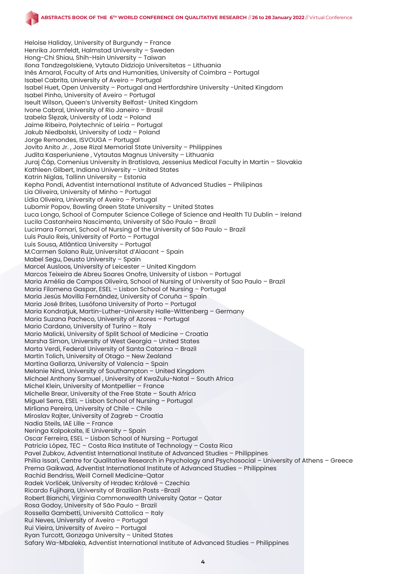

Heloise Haliday, University of Burgundy – France Henrika Jormfeldt, Halmstad University – Sweden Hong-Chi Shiau, Shih-Hsin University – Taiwan Ilona Tandzegolskienė, Vytauto Didziojo Universitetas – Lithuania Inês Amaral, Faculty of Arts and Humanities, University of Coimbra – Portugal Isabel Cabrita, University of Aveiro – Portugal Isabel Huet, Open University – Portugal and Hertfordshire University -United Kingdom Isabel Pinho, University of Aveiro – Portugal Iseult Wilson, Queen's University Belfast- United Kingdom Ivone Cabral, University of Rio Janeiro – Brasil Izabela Ślęzak, University of Lodz – Poland Jaime Ribeiro, Polytechnic of Leiria – Portugal Jakub Niedbalski, University of Lodz – Poland Jorge Remondes, ISVOUGA – Portugal Jovito Anito Jr. , Jose Rizal Memorial State University – Philippines Judita Kasperiuniene , Vytautas Magnus University – Lithuania Juraj Čáp, Comenius University in Bratislava, Jessenius Medical Faculty in Martin – Slovakia Kathleen Gilbert, Indiana University – United States Katrin Niglas, Tallinn University – Estonia Kepha Pondi, Adventist International Institute of Advanced Studies – Philipinas Lia Oliveira, University of Minho – Portugal Lídia Oliveira, University of Aveiro – Portugal Lubomir Popov, Bowling Green State University – United States Luca Longo, School of Computer Science College of Science and Health TU Dublin – Ireland Lucila Castanheira Nascimento, University of São Paulo – Brazil Lucimara Fornari, School of Nursing of the University of São Paulo – Brazil Luís Paulo Reis, University of Porto – Portugal Luis Sousa, Atlântica University – Portugal M.Carmen Solano Ruiz, Universitat d'Alacant – Spain Mabel Segu, Deusto University – Spain Marcel Ausloos, University of Leicester – United Kingdom Marcos Teixeira de Abreu Soares Onofre, University of Lisbon – Portugal Maria Amélia de Campos Oliveira, School of Nursing of University of Sao Paulo – Brazil Maria Filomena Gaspar, ESEL – Lisbon School of Nursing – Portugal María Jesús Movilla Fernández, University of Coruña – Spain Maria José Brites, Lusófona University of Porto – Portugal Maria Kondratjuk, Martin-Luther-University Halle-Wittenberg – Germany Maria Suzana Pacheco, University of Azores – Portugal Mario Cardano, University of Turino – Italy Mario Malicki, University of Split School of Medicine – Croatia Marsha Simon, University of West Georgia – United States Marta Verdi, Federal University of Santa Catarina – Brazil Martin Tolich, University of Otago – New Zealand Martina Gallarza, University of Valencia – Spain Melanie Nind, University of Southampton – United Kingdom Michael Anthony Samuel , University of KwaZulu-Natal – South Africa Michel Klein, University of Montpellier – France Michelle Brear, University of the Free State – South Africa Miguel Serra, ESEL – Lisbon School of Nursing – Portugal Mirliana Pereira, University of Chile – Chile Miroslav Rajter, University of Zagreb – Croatia Nadia Steils, IAE Lille – France Neringa Kalpokaite, IE University – Spain Oscar Ferreira, ESEL – Lisbon School of Nursing – Portugal Patricia López, TEC – Costa Rica Institute of Technology – Costa Rica Pavel Zubkov, Adventist International Institute of Advanced Studies – Philippines Philia Issari, Centre for Qualitative Research in Psychology and Psychosocial – University of Athens – Greece Prema Gaikwad, Adventist International Institute of Advanced Studies – Philippines Rachid Bendriss, Weill Cornell Medicine-Qatar Radek Vorlíček, University of Hradec Králové – Czechia Ricardo Fujihara, University of Brazilian Posts -Brazil Robert Bianchi, Virginia Commonwealth University Qatar – Qatar Rosa Godoy, University of São Paulo – Brazil Rossella Gambetti, Universitá Cattolica – Italy Rui Neves, University of Aveiro – Portugal Rui Vieira, University of Aveiro – Portugal Ryan Turcott, Gonzaga University – United States Safary Wa-Mbaleka, Adventist International Institute of Advanced Studies – Philippines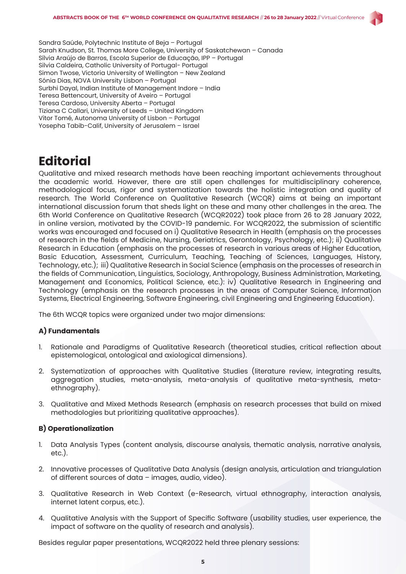

Sandra Saúde, Polytechnic Institute of Beja – Portugal Sarah Knudson, St. Thomas More College, University of Saskatchewan – Canada Sílvia Araújo de Barros, Escola Superior de Educação, IPP – Portugal Silvia Caldeira, Catholic University of Portugal- Portugal Simon Twose, Victoria University of Wellington – New Zealand Sónia Dias, NOVA University Lisbon – Portugal Surbhi Dayal, Indian Institute of Management Indore – India Teresa Bettencourt, University of Aveiro – Portugal Teresa Cardoso, University Aberta – Portugal Tiziana C Callari, University of Leeds – United Kingdom Vitor Tomé, Autonoma University of Lisbon – Portugal Yosepha Tabib-Calif, University of Jerusalem – Israel

# **Editorial**

Qualitative and mixed research methods have been reaching important achievements throughout the academic world. However, there are still open challenges for multidisciplinary coherence, methodological focus, rigor and systematization towards the holistic integration and quality of research. The World Conference on Qualitative Research (WCQR) aims at being an important international discussion forum that sheds light on these and many other challenges in the area. The 6th World Conference on Qualitative Research (WCQR2022) took place from 26 to 28 January 2022, in online version, motivated by the COVID-19 pandemic. For WCQR2022, the submission of scientific works was encouraged and focused on i) Qualitative Research in Health (emphasis on the processes of research in the fields of Medicine, Nursing, Geriatrics, Gerontology, Psychology, etc.); ii) Qualitative Research in Education (emphasis on the processes of research in various areas of Higher Education, Basic Education, Assessment, Curriculum, Teaching, Teaching of Sciences, Languages, History, Technology, etc.); iii) Qualitative Research in Social Science (emphasis on the processes of research in the fields of Communication, Linguistics, Sociology, Anthropology, Business Administration, Marketing, Management and Economics, Political Science, etc.): iv) Qualitative Research in Engineering and Technology (emphasis on the research processes in the areas of Computer Science, Information Systems, Electrical Engineering, Software Engineering, civil Engineering and Engineering Education).

The 6th WCQR topics were organized under two major dimensions:

#### **A) Fundamentals**

- 1. Rationale and Paradigms of Qualitative Research (theoretical studies, critical reflection about epistemological, ontological and axiological dimensions).
- 2. Systematization of approaches with Qualitative Studies (literature review, integrating results, aggregation studies, meta-analysis, meta-analysis of qualitative meta-synthesis, metaethnography).
- 3. Qualitative and Mixed Methods Research (emphasis on research processes that build on mixed methodologies but prioritizing qualitative approaches).

#### **B) Operationalization**

- 1. Data Analysis Types (content analysis, discourse analysis, thematic analysis, narrative analysis, etc.).
- 2. Innovative processes of Qualitative Data Analysis (design analysis, articulation and triangulation of different sources of data – images, audio, video).
- 3. Qualitative Research in Web Context (e-Research, virtual ethnography, interaction analysis, internet latent corpus, etc.).
- 4. Qualitative Analysis with the Support of Specific Software (usability studies, user experience, the impact of software on the quality of research and analysis).

Besides regular paper presentations, WCQR2022 held three plenary sessions: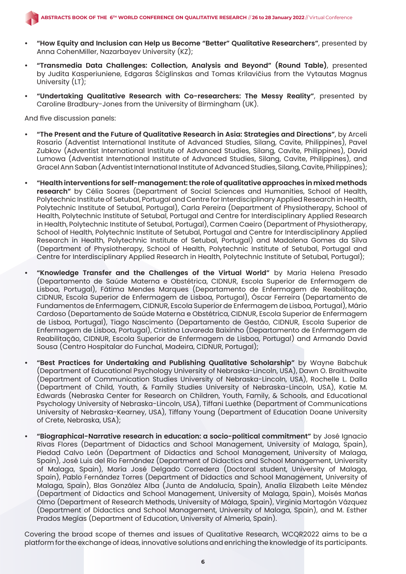- **• "How Equity and Inclusion can Help us Become "Better" Qualitative Researchers"**, presented by Anna CohenMiller, Nazarbayev University (KZ);
- **• "Transmedia Data Challenges: Collection, Analysis and Beyond" (Round Table)**, presented by Judita Kasperiuniene, Edgaras Ščiglinskas and Tomas Krilavičius from the Vytautas Magnus University (LT);
- **• "Undertaking Qualitative Research with Co-researchers: The Messy Reality"**, presented by Caroline Bradbury-Jones from the University of Birmingham (UK).

And five discussion panels:

- **• "The Present and the Future of Qualitative Research in Asia: Strategies and Directions"**, by Arceli Rosario (Adventist International Institute of Advanced Studies, Silang, Cavite, Philippines), Pavel Zubkov (Adventist International Institute of Advanced Studies, Silang, Cavite, Philippines), David Lumowa (Adventist International Institute of Advanced Studies, Silang, Cavite, Philippines), and Gracel Ann Saban (Adventist International Institute of Advanced Studies, Silang, Cavite, Philippines);
- **• "Health interventions for self-management: the role of qualitative approaches in mixed methods research"** by Célia Soares (Department of Social Sciences and Humanities, School of Health, Polytechnic Institute of Setubal, Portugal and Centre for Interdisciplinary Applied Research in Health, Polytechnic Institute of Setubal, Portugal), Carla Pereira (Department of Physiotherapy, School of Health, Polytechnic Institute of Setubal, Portugal and Centre for Interdisciplinary Applied Research in Health, Polytechnic Institute of Setubal, Portugal), Carmen Caeiro (Department of Physiotherapy, School of Health, Polytechnic Institute of Setubal, Portugal and Centre for Interdisciplinary Applied Research in Health, Polytechnic Institute of Setubal, Portugal) and Madalena Gomes da Silva (Department of Physiotherapy, School of Health, Polytechnic Institute of Setubal, Portugal and Centre for Interdisciplinary Applied Research in Health, Polytechnic Institute of Setubal, Portugal);
- **• "Knowledge Transfer and the Challenges of the Virtual World"** by Maria Helena Presado (Departamento de Saúde Materna e Obstétrica, CIDNUR, Escola Superior de Enfermagem de Lisboa, Portugal), Fátima Mendes Marques (Departamento de Enfermagem de Reabilitação, CIDNUR, Escola Superior de Enfermagem de Lisboa, Portugal), Óscar Ferreira (Departamento de Fundamentos de Enfermagem, CIDNUR, Escola Superior de Enfermagem de Lisboa, Portugal), Mário Cardoso (Departamento de Saúde Materna e Obstétrica, CIDNUR, Escola Superior de Enfermagem de Lisboa, Portugal), Tiago Nascimento (Departamento de Gestão, CIDNUR, Escola Superior de Enfermagem de Lisboa, Portugal), Cristina Lavareda Baixinho (Departamento de Enfermagem de Reabilitação, CIDNUR, Escola Superior de Enfermagem de Lisboa, Portugal) and Armando David Sousa (Centro Hospitalar do Funchal, Madeira, CIDNUR, Portugal);
- **• "Best Practices for Undertaking and Publishing Qualitative Scholarship"** by Wayne Babchuk (Department of Educational Psychology University of Nebraska-Lincoln, USA), Dawn O. Braithwaite (Department of Communication Studies University of Nebraska-Lincoln, USA), Rochelle L. Dalla (Department of Child, Youth, & Family Studies University of Nebraska-Lincoln, USA), Katie M. Edwards (Nebraska Center for Research on Children, Youth, Family, & Schools, and Educational Psychology University of Nebraska-Lincoln, USA), Tiffani Luethke (Department of Communications University of Nebraska-Kearney, USA), Tiffany Young (Department of Education Doane University of Crete, Nebraska, USA);
- **• "Biographical-Narrative research in education: a socio-political commitment"** by José Ignacio Rivas Flores (Department of Didactics and School Management, University of Malaga, Spain), Piedad Calvo León (Department of Didactics and School Management, University of Malaga, Spain), José Luis del Río Fernández (Department of Didactics and School Management, University of Malaga, Spain), María José Delgado Corredera (Doctoral student, University of Malaga, Spain), Pablo Fernández Torres (Department of Didactics and School Management, University of Malaga, Spain), Blas González Alba (Junta de Andalucía, Spain), Analía Elizabeth Leite Méndez (Department of Didactics and School Management, University of Malaga, Spain), Moisés Mañas Olmo (Department of Research Methods, University of Málaga, Spain), Virginia Martagón Vázquez (Department of Didactics and School Management, University of Malaga, Spain), and M. Esther Prados Megías (Department of Education, University of Almeria, Spain).

Covering the broad scope of themes and issues of Qualitative Research, WCQR2022 aims to be a platform for the exchange of ideas, innovative solutions and enriching the knowledge of its participants.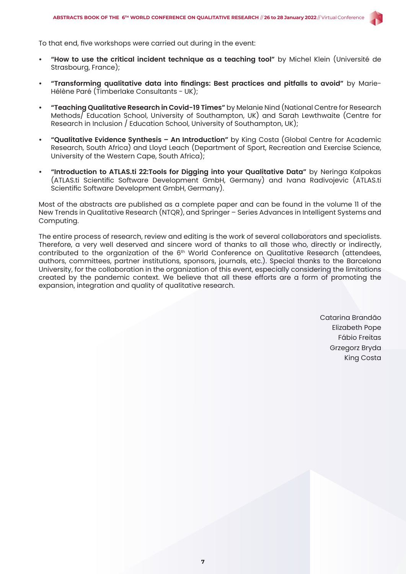

To that end, five workshops were carried out during in the event:

- **• "How to use the critical incident technique as a teaching tool"** by Michel Klein (Université de Strasbourg, France);
- **• "Transforming qualitative data into findings: Best practices and pitfalls to avoid"** by Marie-Hélène Paré (Timberlake Consultants - UK);
- **• "Teaching Qualitative Research in Covid-19 Times"** by Melanie Nind (National Centre for Research Methods/ Education School, University of Southampton, UK) and Sarah Lewthwaite (Centre for Research in Inclusion / Education School, University of Southampton, UK);
- **• "Qualitative Evidence Synthesis An Introduction"** by King Costa (Global Centre for Academic Research, South Africa) and Lloyd Leach (Department of Sport, Recreation and Exercise Science, University of the Western Cape, South Africa);
- **• "Introduction to ATLAS.ti 22:Tools for Digging into your Qualitative Data"** by Neringa Kalpokas (ATLAS.ti Scientific Software Development GmbH, Germany) and Ivana Radivojevic (ATLAS.ti Scientific Software Development GmbH, Germany).

Most of the abstracts are published as a complete paper and can be found in the volume 11 of the New Trends in Qualitative Research (NTQR), and Springer – Series Advances in Intelligent Systems and Computing.

The entire process of research, review and editing is the work of several collaborators and specialists. Therefore, a very well deserved and sincere word of thanks to all those who, directly or indirectly, contributed to the organization of the 6<sup>th</sup> World Conference on Qualitative Research (attendees, authors, committees, partner institutions, sponsors, journals, etc.). Special thanks to the Barcelona University, for the collaboration in the organization of this event, especially considering the limitations created by the pandemic context. We believe that all these efforts are a form of promoting the expansion, integration and quality of qualitative research.

> Catarina Brandão Elizabeth Pope Fábio Freitas Grzegorz Bryda King Costa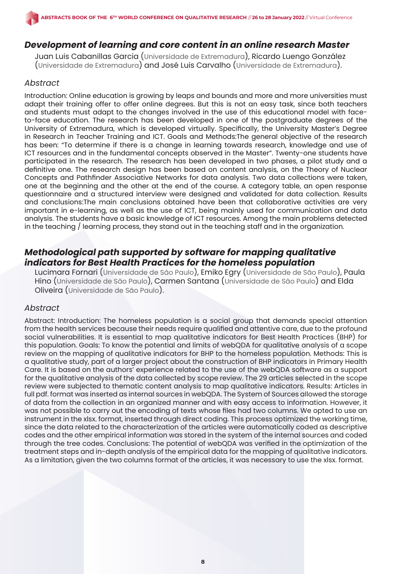### *Development of learning and core content in an online research Master*

Juan Luis Cabanillas Garcia (Universidade de Extremadura), Ricardo Luengo González (Universidade de Extremadura) and José Luis Carvalho (Universidade de Extremadura).

#### *Abstract*

Introduction: Online education is growing by leaps and bounds and more and more universities must adapt their training offer to offer online degrees. But this is not an easy task, since both teachers and students must adapt to the changes involved in the use of this educational model with faceto-face education. The research has been developed in one of the postgraduate degrees of the University of Extremadura, which is developed virtually. Specifically, the University Master's Degree in Research in Teacher Training and ICT. Goals and Methods:The general objective of the research has been: "To determine if there is a change in learning towards research, knowledge and use of ICT resources and in the fundamental concepts observed in the Master". Twenty-one students have participated in the research. The research has been developed in two phases, a pilot study and a definitive one. The research design has been based on content analysis, on the Theory of Nuclear Concepts and Pathfinder Associative Networks for data analysis. Two data collections were taken, one at the beginning and the other at the end of the course. A category table, an open response questionnaire and a structured interview were designed and validated for data collection. Results and conclusions:The main conclusions obtained have been that collaborative activities are very important in e-learning, as well as the use of ICT, being mainly used for communication and data analysis. The students have a basic knowledge of ICT resources. Among the main problems detected in the teaching / learning process, they stand out in the teaching staff and in the organization.

# *Methodological path supported by software for mapping qualitative indicators for Best Health Practices for the homeless population*

Lucimara Fornari (Universidade de São Paulo), Emiko Egry (Universidade de São Paulo), Paula Hino (Universidade de São Paulo), Carmen Santana (Universidade de São Paulo) and Elda Oliveira (Universidade de São Paulo).

#### *Abstract*

Abstract: Introduction: The homeless population is a social group that demands special attention from the health services because their needs require qualified and attentive care, due to the profound social vulnerabilities. It is essential to map qualitative indicators for Best Health Practices (BHP) for this population. Goals: To know the potential and limits of webQDA for qualitative analysis of a scope review on the mapping of qualitative indicators for BHP to the homeless population. Methods: This is a qualitative study, part of a larger project about the construction of BHP indicators in Primary Health Care. It is based on the authors' experience related to the use of the webQDA software as a support for the qualitative analysis of the data collected by scope review. The 29 articles selected in the scope review were subjected to thematic content analysis to map qualitative indicators. Results: Articles in full pdf. format was inserted as internal sources in webQDA. The System of Sources allowed the storage of data from the collection in an organized manner and with easy access to information. However, it was not possible to carry out the encoding of texts whose files had two columns. We opted to use an instrument in the xlsx. format, inserted through direct coding. This process optimized the working time, since the data related to the characterization of the articles were automatically coded as descriptive codes and the other empirical information was stored in the system of the internal sources and coded through the tree codes. Conclusions: The potential of webQDA was verified in the optimization of the treatment steps and in-depth analysis of the empirical data for the mapping of qualitative indicators. As a limitation, given the two columns format of the articles, it was necessary to use the xlsx. format.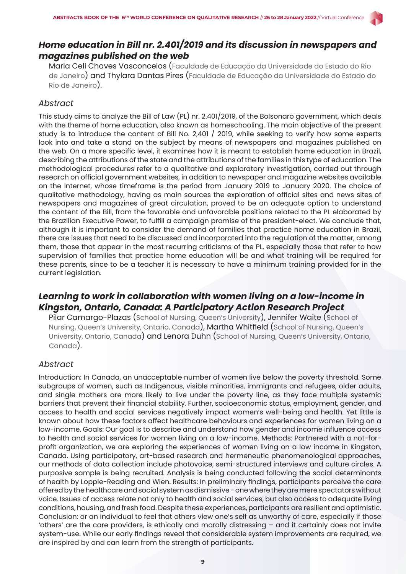

Maria Celi Chaves Vasconcelos (Faculdade de Educação da Universidade do Estado do Rio de Janeiro) and Thylara Dantas Pires (Faculdade de Educação da Universidade do Estado do Rio de Janeiro).

#### *Abstract*

This study aims to analyze the Bill of Law (PL) nr. 2.401/2019, of the Bolsonaro government, which deals with the theme of home education, also known as homeschooling. The main objective of the present study is to introduce the content of Bill No. 2,401 / 2019, while seeking to verify how some experts look into and take a stand on the subject by means of newspapers and magazines published on the web. On a more specific level, it examines how it is meant to establish home education in Brazil, describing the attributions of the state and the attributions of the families in this type of education. The methodological procedures refer to a qualitative and exploratory investigation, carried out through research on official government websites, in addition to newspaper and magazine websites available on the Internet, whose timeframe is the period from January 2019 to January 2020. The choice of qualitative methodology, having as main sources the exploration of official sites and news sites of newspapers and magazines of great circulation, proved to be an adequate option to understand the content of the Bill, from the favorable and unfavorable positions related to the PL elaborated by the Brazilian Executive Power, to fulfill a campaign promise of the president-elect. We conclude that, although it is important to consider the demand of families that practice home education in Brazil, there are issues that need to be discussed and incorporated into the regulation of the matter, among them, those that appear in the most recurring criticisms of the PL, especially those that refer to how supervision of families that practice home education will be and what training will be required for these parents, since to be a teacher it is necessary to have a minimum training provided for in the current legislation.

# *Learning to work in collaboration with women living on a low-income in Kingston, Ontario, Canada: A Participatory Action Research Project*

Pilar Camargo-Plazas (School of Nursing, Queen's University), Jennifer Waite (School of Nursing, Queen's University, Ontario, Canada), Martha Whitfield (School of Nursing, Queen's University, Ontario, Canada) and Lenora Duhn (School of Nursing, Queen's University, Ontario, Canada).

#### *Abstract*

Introduction: In Canada, an unacceptable number of women live below the poverty threshold. Some subgroups of women, such as Indigenous, visible minorities, immigrants and refugees, older adults, and single mothers are more likely to live under the poverty line, as they face multiple systemic barriers that prevent their financial stability. Further, socioeconomic status, employment, gender, and access to health and social services negatively impact women's well-being and health. Yet little is known about how these factors affect healthcare behaviours and experiences for women living on a low-income. Goals: Our goal is to describe and understand how gender and income influence access to health and social services for women living on a low-income. Methods: Partnered with a not-forprofit organization, we are exploring the experiences of women living on a low income in Kingston, Canada. Using participatory, art-based research and hermeneutic phenomenological approaches, our methods of data collection include photovoice, semi-structured interviews and culture circles. A purposive sample is being recruited. Analysis is being conducted following the social determinants of health by Loppie-Reading and Wien. Results: In preliminary findings, participants perceive the care offered by the healthcare and social system as dismissive - one where they are mere spectators without voice. Issues of access relate not only to health and social services, but also access to adequate living conditions, housing, and fresh food. Despite these experiences, participants are resilient and optimistic. Conclusion: or an individual to feel that others view one's self as unworthy of care, especially if those 'others' are the care providers, is ethically and morally distressing – and it certainly does not invite system-use. While our early findings reveal that considerable system improvements are required, we are inspired by and can learn from the strength of participants.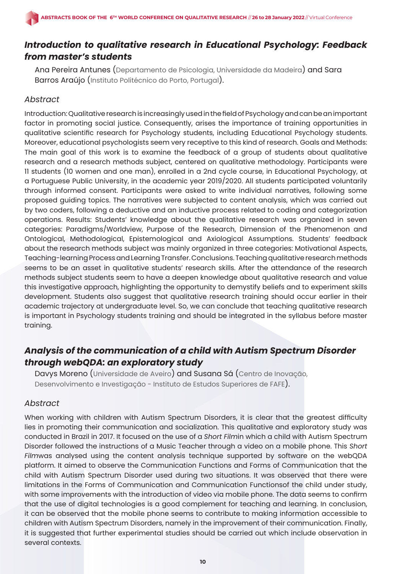# *Introduction to qualitative research in Educational Psychology: Feedback from master's students*

Ana Pereira Antunes (Departamento de Psicologia, Universidade da Madeira) and Sara Barros Araújo (Instituto Politécnico do Porto, Portugal).

#### *Abstract*

Introduction: Qualitative research is increasingly used in the field of Psychology and can be an important factor in promoting social justice. Consequently, arises the importance of training opportunities in qualitative scientific research for Psychology students, including Educational Psychology students. Moreover, educational psychologists seem very receptive to this kind of research. Goals and Methods: The main goal of this work is to examine the feedback of a group of students about qualitative research and a research methods subject, centered on qualitative methodology. Participants were 11 students (10 women and one man), enrolled in a 2nd cycle course, in Educational Psychology, at a Portuguese Public University, in the academic year 2019/2020. All students participated voluntarily through informed consent. Participants were asked to write individual narratives, following some proposed guiding topics. The narratives were subjected to content analysis, which was carried out by two coders, following a deductive and an inductive process related to coding and categorization operations. Results: Students' knowledge about the qualitative research was organized in seven categories: Paradigms/Worldview, Purpose of the Research, Dimension of the Phenomenon and Ontological, Methodological, Epistemological and Axiological Assumptions. Students' feedback about the research methods subject was mainly organized in three categories: Motivational Aspects, Teaching-learning Process and Learning Transfer. Conclusions. Teaching qualitative research methods seems to be an asset in qualitative students' research skills. After the attendance of the research methods subject students seem to have a deepen knowledge about qualitative research and value this investigative approach, highlighting the opportunity to demystify beliefs and to experiment skills development. Students also suggest that qualitative research training should occur earlier in their academic trajectory at undergraduate level. So, we can conclude that teaching qualitative research is important in Psychology students training and should be integrated in the syllabus before master training.

# *Analysis of the communication of a child with Autism Spectrum Disorder through webQDA: an exploratory study*

Davys Moreno (Universidade de Aveiro) and Susana Sá (Centro de Inovação, Desenvolvimento e Investigação - Instituto de Estudos Superiores de FAFE).

#### *Abstract*

When working with children with Autism Spectrum Disorders, it is clear that the greatest difficulty lies in promoting their communication and socialization. This qualitative and exploratory study was conducted in Brazil in 2017. It focused on the use of a *Short Film*in which a child with Autism Spectrum Disorder followed the instructions of a Music Teacher through a video on a mobile phone. This *Short Film*was analysed using the content analysis technique supported by software on the webQDA platform. It aimed to observe the Communication Functions and Forms of Communication that the child with Autism Spectrum Disorder used during two situations. It was observed that there were limitations in the Forms of Communication and Communication Functionsof the child under study, with some improvements with the introduction of video via mobile phone. The data seems to confirm that the use of digital technologies is a good complement for teaching and learning. In conclusion, it can be observed that the mobile phone seems to contribute to making information accessible to children with Autism Spectrum Disorders, namely in the improvement of their communication. Finally, it is suggested that further experimental studies should be carried out which include observation in several contexts.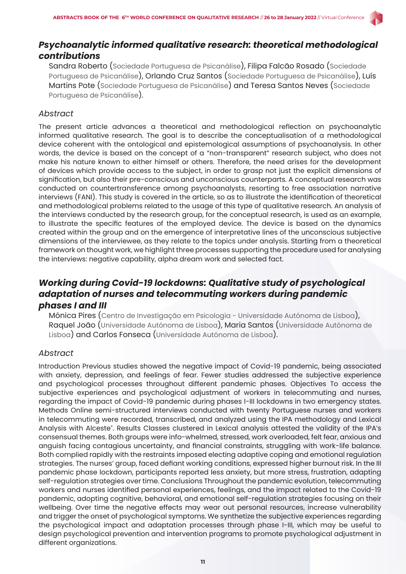# *Psychoanalytic informed qualitative research: theoretical methodological contributions*

Sandra Roberto (Sociedade Portuguesa de Psicanálise), Filipa Falcão Rosado (Sociedade Portuguesa de Psicanálise), Orlando Cruz Santos (Sociedade Portuguesa de Psicanálise), Luís Martins Pote (Sociedade Portuguesa de Psicanálise) and Teresa Santos Neves (Sociedade Portuguesa de Psicanálise).

#### *Abstract*

The present article advances a theoretical and methodological reflection on psychoanalytic informed qualitative research. The goal is to describe the conceptualisation of a methodological device coherent with the ontological and epistemological assumptions of psychoanalysis. In other words, the device is based on the concept of a "non-transparent" research subject, who does not make his nature known to either himself or others. Therefore, the need arises for the development of devices which provide access to the subject, in order to grasp not just the explicit dimensions of signification, but also their pre-conscious and unconscious counterparts. A conceptual research was conducted on countertransference among psychoanalysts, resorting to free association narrative interviews (FANI). This study is covered in the article, so as to illustrate the identification of theoretical and methodological problems related to the usage of this type of qualitative research. An analysis of the interviews conducted by the research group, for the conceptual research, is used as an example, to illustrate the specific features of the employed device. The device is based on the dynamics created within the group and on the emergence of interpretative lines of the unconscious subjective dimensions of the interviewee, as they relate to the topics under analysis. Starting from a theoretical framework on thought work, we highlight three processes supporting the procedure used for analysing the interviews: negative capability, alpha dream work and selected fact.

# *Working during Covid-19 lockdowns: Qualitative study of psychological adaptation of nurses and telecommuting workers during pandemic phases I and III*

Mónica Pires (Centro de Investigação em Psicologia - Universidade Autónoma de Lisboa), Raquel João (Universidade Autónoma de Lisboa), Maria Santos (Universidade Autónoma de Lisboa) and Carlos Fonseca (Universidade Autónoma de Lisboa).

#### *Abstract*

Introduction Previous studies showed the negative impact of Covid-19 pandemic, being associated with anxiety, depression, and feelings of fear. Fewer studies addressed the subjective experience and psychological processes throughout different pandemic phases. Objectives To access the subjective experiences and psychological adjustment of workers in telecommuting and nurses, regarding the impact of Covid-19 pandemic during phases I-III lockdowns in two emergency states. Methods Online semi-structured interviews conducted with twenty Portuguese nurses and workers in telecommuting were recorded, transcribed, and analyzed using the IPA methodology and Lexical Analysis with Alceste®. Results Classes clustered in Lexical analysis attested the validity of the IPA's consensual themes. Both groups were info-whelmed, stressed, work overloaded, felt fear, anxious and anguish facing contagious uncertainty, and financial constraints, struggling with work-life balance. Both complied rapidly with the restraints imposed electing adaptive coping and emotional regulation strategies. The nurses' group, faced defiant working conditions, expressed higher burnout risk. In the III pandemic phase lockdown, participants reported less anxiety, but more stress, frustration, adapting self-regulation strategies over time. Conclusions Throughout the pandemic evolution, telecommuting workers and nurses identified personal experiences, feelings, and the impact related to the Covid-19 pandemic, adopting cognitive, behavioral, and emotional self-regulation strategies focusing on their wellbeing. Over time the negative effects may wear out personal resources, increase vulnerability and trigger the onset of psychological symptoms. We synthetize the subjective experiences regarding the psychological impact and adaptation processes through phase I-III, which may be useful to design psychological prevention and intervention programs to promote psychological adjustment in different organizations.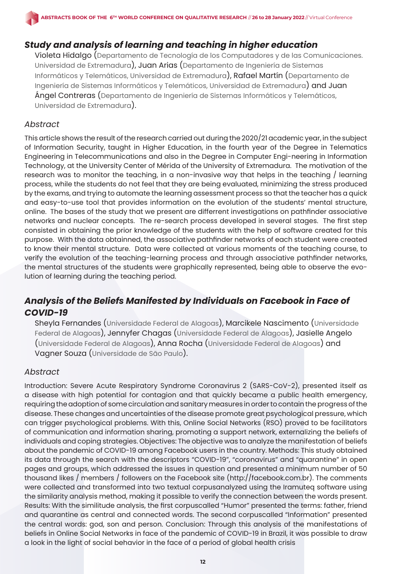# *Study and analysis of learning and teaching in higher education*

Violeta Hidalgo (Departamento de Tecnología de los Computadores y de las Comunicaciones. Universidad de Extremadura), Juan Arias (Departamento de Ingeniería de Sistemas Informáticos y Telemáticos, Universidad de Extremadura), Rafael Martín (Departamento de Ingeniería de Sistemas Informáticos y Telemáticos, Universidad de Extremadura) and Juan Ángel Contreras (Departamento de Ingeniería de Sistemas Informáticos y Telemáticos, Universidad de Extremadura).

#### *Abstract*

This article shows the result of the research carried out during the 2020/21 academic year, in the subject of Information Security, taught in Higher Education, in the fourth year of the Degree in Telematics Engineering in Telecommunications and also in the Degree in Computer Engi-neering in Information Technology, at the University Center of Mérida of the University of Extremadura. The motivation of the research was to monitor the teaching, in a non-invasive way that helps in the teaching / learning process, while the students do not feel that they are being evaluated, minimizing the stress produced by the exams, and trying to automate the learning assessment process so that the teacher has a quick and easy-to-use tool that provides information on the evolution of the students' mental structure, online. The bases of the study that we present are differrent investigations on pathfinder associative networks and nuclear concepts. The re-search process developed in several stages. The first step consisted in obtaining the prior knowledge of the students with the help of software created for this purpose. With the data obtainned, the associative pathfinder networks of each student were created to know their mental structure. Data were collected at various moments of the teaching course, to verify the evolution of the teaching-learning process and through associative pathfinder networks, the mental structures of the students were graphically represented, being able to observe the evolution of learning during the teaching period.

# *Analysis of the Beliefs Manifested by Individuals on Facebook in Face of COVID-19*

Sheyla Fernandes (Universidade Federal de Alagoas), Marcikele Nascimento (Universidade Federal de Alagoas), Jennyfer Chagas (Universidade Federal de Alagoas), Jasielle Angelo (Universidade Federal de Alagoas), Anna Rocha (Universidade Federal de Alagoas) and Vagner Souza (Universidade de São Paulo).

#### *Abstract*

Introduction: Severe Acute Respiratory Syndrome Coronavirus 2 (SARS-CoV-2), presented itself as a disease with high potential for contagion and that quickly became a public health emergency, requiring the adoption of some circulation and sanitary measures in order to contain the progress of the disease. These changes and uncertainties of the disease promote great psychological pressure, which can trigger psychological problems. With this, Online Social Networks (RSO) proved to be facilitators of communication and information sharing, promoting a support network, externalizing the beliefs of individuals and coping strategies. Objectives: The objective was to analyze the manifestation of beliefs about the pandemic of COVID-19 among Facebook users in the country. Methods: This study obtained its data through the search with the descriptors "COVID-19", "coronavirus" and "quarantine" in open pages and groups, which addressed the issues in question and presented a minimum number of 50 thousand likes / members / followers on the Facebook site (http://facebook.com.br). The comments were collected and transformed into two textual corpusanalyzed using the Iramuteq software using the similarity analysis method, making it possible to verify the connection between the words present. Results: With the similitude analysis, the first corpuscalled "Humor" presented the terms: father, friend and quarantine as central and connected words. The second corpuscalled "Information" presented the central words: god, son and person. Conclusion: Through this analysis of the manifestations of beliefs in Online Social Networks in face of the pandemic of COVID-19 in Brazil, it was possible to draw a look in the light of social behavior in the face of a period of global health crisis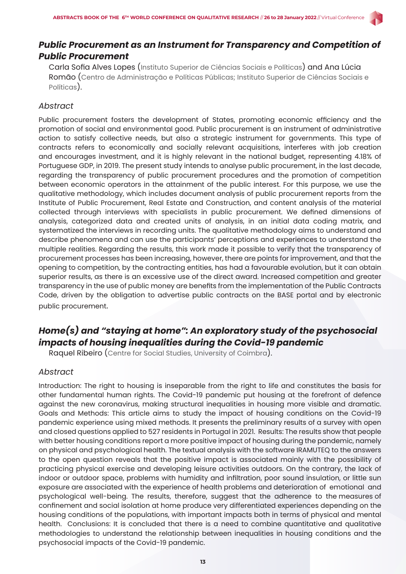

Carla Sofia Alves Lopes (Instituto Superior de Ciências Sociais e Políticas) and Ana Lúcia Romão (Centro de Administração e Políticas Públicas; Instituto Superior de Ciências Sociais e Políticas).

### *Abstract*

Public procurement fosters the development of States, promoting economic efficiency and the promotion of social and environmental good. Public procurement is an instrument of administrative action to satisfy collective needs, but also a strategic instrument for governments. This type of contracts refers to economically and socially relevant acquisitions, interferes with job creation and encourages investment, and it is highly relevant in the national budget, representing 4.18% of Portuguese GDP, in 2019. The present study intends to analyse public procurement, in the last decade, regarding the transparency of public procurement procedures and the promotion of competition between economic operators in the attainment of the public interest. For this purpose, we use the qualitative methodology, which includes document analysis of public procurement reports from the Institute of Public Procurement, Real Estate and Construction, and content analysis of the material collected through interviews with specialists in public procurement. We defined dimensions of analysis, categorized data and created units of analysis, in an initial data coding matrix, and systematized the interviews in recording units. The qualitative methodology aims to understand and describe phenomena and can use the participants' perceptions and experiences to understand the multiple realities. Regarding the results, this work made it possible to verify that the transparency of procurement processes has been increasing, however, there are points for improvement, and that the opening to competition, by the contracting entities, has had a favourable evolution, but it can obtain superior results, as there is an excessive use of the direct award. Increased competition and greater transparency in the use of public money are benefits from the implementation of the Public Contracts Code, driven by the obligation to advertise public contracts on the BASE portal and by electronic public procurement.

# *Home(s) and "staying at home": An exploratory study of the psychosocial impacts of housing inequalities during the Covid-19 pandemic*

Raquel Ribeiro (Centre for Social Studies, University of Coimbra).

#### *Abstract*

Introduction: The right to housing is inseparable from the right to life and constitutes the basis for other fundamental human rights. The Covid-19 pandemic put housing at the forefront of defence against the new coronavirus, making structural inequalities in housing more visible and dramatic. Goals and Methods: This article aims to study the impact of housing conditions on the Covid-19 pandemic experience using mixed methods. It presents the preliminary results of a survey with open and closed questions applied to 527 residents in Portugal in 2021. Results: The results show that people with better housing conditions report a more positive impact of housing during the pandemic, namely on physical and psychological health. The textual analysis with the software IRAMUTEQ to the answers to the open question reveals that the positive impact is associated mainly with the possibility of practicing physical exercise and developing leisure activities outdoors. On the contrary, the lack of indoor or outdoor space, problems with humidity and infiltration, poor sound insulation, or little sun exposure are associated with the experience of health problems and deterioration of emotional and psychological well-being. The results, therefore, suggest that the adherence to the measures of confinement and social isolation at home produce very differentiated experiences depending on the housing conditions of the populations, with important impacts both in terms of physical and mental health. Conclusions: It is concluded that there is a need to combine quantitative and qualitative methodologies to understand the relationship between inequalities in housing conditions and the psychosocial impacts of the Covid-19 pandemic.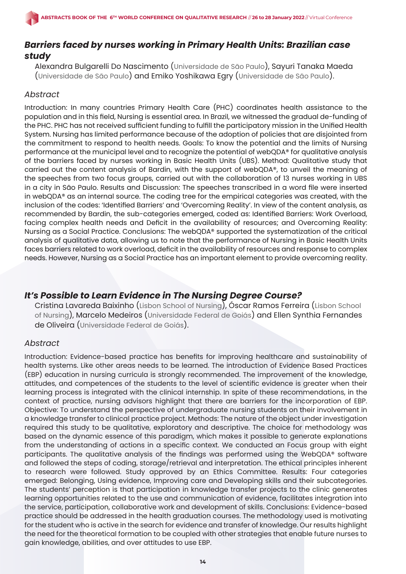# *Barriers faced by nurses working in Primary Health Units: Brazilian case study*

Alexandra Bulgarelli Do Nascimento (Universidade de São Paulo), Sayuri Tanaka Maeda (Universidade de São Paulo) and Emiko Yoshikawa Egry (Universidade de São Paulo).

# *Abstract*

Introduction: In many countries Primary Health Care (PHC) coordinates health assistance to the population and in this field, Nursing is essential area. In Brazil, we witnessed the gradual de-funding of the PHC. PHC has not received sufficient funding to fulfill the participatory mission in the Unified Health System. Nursing has limited performance because of the adoption of policies that are disjointed from the commitment to respond to health needs. Goals: To know the potential and the limits of Nursing performance at the municipal level and to recognize the potential of webQDA® for qualitative analysis of the barriers faced by nurses working in Basic Health Units (UBS). Method: Qualitative study that carried out the content analysis of Bardin, with the support of webQDA®, to unveil the meaning of the speeches from two focus groups, carried out with the collaboration of 13 nurses working in UBS in a city in São Paulo. Results and Discussion: The speeches transcribed in a word file were inserted in webQDA® as an internal source. The coding tree for the empirical categories was created, with the inclusion of the codes: 'Identified Barriers' and 'Overcoming Reality'. In view of the content analysis, as recommended by Bardin, the sub-categories emerged, coded as: Identified Barriers: Work Overload, facing complex health needs and Deficit in the availability of resources; and Overcoming Reality: Nursing as a Social Practice. Conclusions: The webQDA® supported the systematization of the critical analysis of qualitative data, allowing us to note that the performance of Nursing in Basic Health Units faces barriers related to work overload, deficit in the availability of resources and response to complex needs. However, Nursing as a Social Practice has an important element to provide overcoming reality.

# *It's Possible to Learn Evidence in The Nursing Degree Course?*

Cristina Lavareda Baixinho (Lisbon School of Nursing), Óscar Ramos Ferreira (Lisbon School of Nursing), Marcelo Medeiros (Universidade Federal de Goiás) and Ellen Synthia Fernandes de Oliveira (Universidade Federal de Goiás).

# *Abstract*

Introduction: Evidence-based practice has benefits for improving healthcare and sustainability of health systems. Like other areas needs to be learned. The introduction of Evidence Based Practices (EBP) education in nursing curricula is strongly recommended. The improvement of the knowledge, attitudes, and competences of the students to the level of scientific evidence is greater when their learning process is integrated with the clinical internship. In spite of these recommendations, in the context of practice, nursing advisors highlight that there are barriers for the incorporation of EBP. Objective: To understand the perspective of undergraduate nursing students on their involvement in a knowledge transfer to clinical practice project. Methods: The nature of the object under investigation required this study to be qualitative, exploratory and descriptive. The choice for methodology was based on the dynamic essence of this paradigm, which makes it possible to generate explanations from the understanding of actions in a specific context. We conducted an Focus group with eight participants. The qualitative analysis of the findings was performed using the WebQDA® software and followed the steps of coding, storage/retrieval and interpretation. The ethical principles inherent to research were followed. Study approved by an Ethics Committee. Results: Four categories emerged: Belonging, Using evidence, Improving care and Developing skills and their subcategories. The students' perception is that participation in knowledge transfer projects to the clinic generates learning opportunities related to the use and communication of evidence, facilitates integration into the service, participation, collaborative work and development of skills. Conclusions: Evidence-based practice should be addressed in the health graduation courses. The methodology used is motivating for the student who is active in the search for evidence and transfer of knowledge. Our results highlight the need for the theoretical formation to be coupled with other strategies that enable future nurses to gain knowledge, abilities, and over attitudes to use EBP.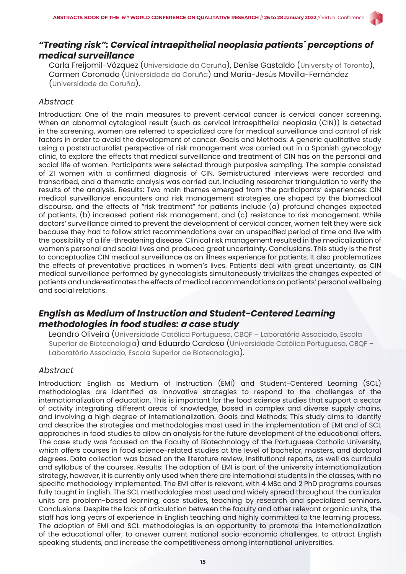

Carla Freijomil-Vázquez (Universidade da Coruña), Denise Gastaldo (University of Toronto), Carmen Coronado (Universidade da Coruña) and María-Jesús Movilla-Fernández (Universidade da Coruña).

#### *Abstract*

Introduction: One of the main measures to prevent cervical cancer is cervical cancer screening. When an abnormal cytological result (such as cervical intraepithelial neoplasia (CIN)) is detected in the screening, women are referred to specialized care for medical surveillance and control of risk factors in order to avoid the development of cancer. Goals and Methods: A generic qualitative study using a poststructuralist perspective of risk management was carried out in a Spanish gynecology clinic, to explore the effects that medical surveillance and treatment of CIN has on the personal and social life of women. Participants were selected through purposive sampling. The sample consisted of 21 women with a confirmed diagnosis of CIN. Semistructured interviews were recorded and transcribed, and a thematic analysis was carried out, including researcher triangulation to verify the results of the analysis. Results: Two main themes emerged from the participants' experiences: CIN medical surveillance encounters and risk management strategies are shaped by the biomedical discourse, and the effects of "risk treatment" for patients include (a) profound changes expected of patients, (b) increased patient risk management, and (c) resistance to risk management. While doctors' surveillance aimed to prevent the development of cervical cancer, women felt they were sick because they had to follow strict recommendations over an unspecified period of time and live with the possibility of a life-threatening disease. Clinical risk management resulted in the medicalization of women's personal and social lives and produced great uncertainty. Conclusions. This study is the first to conceptualize CIN medical surveillance as an illness experience for patients. It also problematizes the effects of preventative practices in women's lives. Patients deal with great uncertainty, as CIN medical surveillance performed by gynecologists simultaneously trivializes the changes expected of patients and underestimates the effects of medical recommendations on patients' personal wellbeing and social relations.

# *English as Medium of Instruction and Student-Centered Learning methodologies in food studies: a case study*

Leandro Oliveira (Universidade Católica Portuguesa, CBQF – Laboratório Associado, Escola Superior de Biotecnologia) and Eduardo Cardoso (Universidade Católica Portuguesa, CBQF – Laboratório Associado, Escola Superior de Biotecnologia).

#### *Abstract*

Introduction: English as Medium of Instruction (EMI) and Student-Centered Learning (SCL) methodologies are identified as innovative strategies to respond to the challenges of the internationalization of education. This is important for the food science studies that support a sector of activity integrating different areas of knowledge, based in complex and diverse supply chains, and involving a high degree of internationalization. Goals and Methods: This study aims to identify and describe the strategies and methodologies most used in the implementation of EMI and of SCL approaches in food studies to allow an analysis for the future development of the educational offers. The case study was focused on the Faculty of Biotechnology of the Portuguese Catholic University, which offers courses in food science-related studies at the level of bachelor, masters, and doctoral degrees. Data collection was based on the literature review, institutional reports, as well as curricula and syllabus of the courses. Results: The adoption of EMI is part of the university internationalization strategy, however, it is currently only used when there are international students in the classes, with no specific methodology implemented. The EMI offer is relevant, with 4 MSc and 2 PhD programs courses fully taught in English. The SCL methodologies most used and widely spread throughout the curricular units are problem-based learning, case studies, teaching by research and specialized seminars. Conclusions: Despite the lack of articulation between the faculty and other relevant organic units, the staff has long years of experience in English teaching and highly committed to the learning process. The adoption of EMI and SCL methodologies is an opportunity to promote the internationalization of the educational offer, to answer current national socio-economic challenges, to attract English speaking students, and increase the competitiveness among international universities.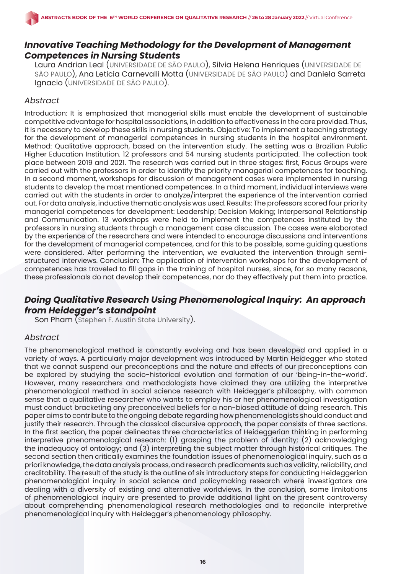# *Innovative Teaching Methodology for the Development of Management Competences in Nursing Students*

Laura Andrian Leal (UNIVERSIDADE DE SÃO PAULO), Silvia Helena Henriques (UNIVERSIDADE DE SÃO PAULO), Ana Leticia Carnevalli Motta (UNIVERSIDADE DE SÃO PAULO) and Daniela Sarreta Ignacio (UNIVERSIDADE DE SÃO PAULO).

### *Abstract*

Introduction: It is emphasized that managerial skills must enable the development of sustainable competitive advantage for hospital associations, in addition to effectiveness in the care provided. Thus, it is necessary to develop these skills in nursing students. Objective: To implement a teaching strategy for the development of managerial competences in nursing students in the hospital environment. Method: Qualitative approach, based on the intervention study. The setting was a Brazilian Public Higher Education Institution. 12 professors and 54 nursing students participated. The collection took place between 2019 and 2021. The research was carried out in three stages: first, Focus Groups were carried out with the professors in order to identify the priority managerial competences for teaching. In a second moment, workshops for discussion of management cases were implemented in nursing students to develop the most mentioned competences. In a third moment, individual interviews were carried out with the students in order to analyze/interpret the experience of the intervention carried out. For data analysis, inductive thematic analysis was used. Results: The professors scored four priority managerial competences for development: Leadership; Decision Making; Interpersonal Relationship and Communication. 13 workshops were held to implement the competences instituted by the professors in nursing students through a management case discussion. The cases were elaborated by the experience of the researchers and were intended to encourage discussions and interventions for the development of managerial competences, and for this to be possible, some guiding questions were considered. After performing the intervention, we evaluated the intervention through semistructured interviews. Conclusion: The application of intervention workshops for the development of competences has traveled to fill gaps in the training of hospital nurses, since, for so many reasons, these professionals do not develop their competences, nor do they effectively put them into practice.

# *Doing Qualitative Research Using Phenomenological Inquiry: An approach from Heidegger's standpoint*

Son Pham (Stephen F. Austin State University).

#### *Abstract*

The phenomenological method is constantly evolving and has been developed and applied in a variety of ways. A particularly major development was introduced by Martin Heidegger who stated that we cannot suspend our preconceptions and the nature and effects of our preconceptions can be explored by studying the socio-historical evolution and formation of our 'being-in-the-world'. However, many researchers and methodologists have claimed they are utilizing the interpretive phenomenological method in social science research with Heidegger's philosophy, with common sense that a qualitative researcher who wants to employ his or her phenomenological investigation must conduct bracketing any preconceived beliefs for a non-biased attitude of doing research. This paper aims to contribute to the ongoing debate regarding how phenomenologists should conduct and justify their research. Through the classical discursive approach, the paper consists of three sections. In the first section, the paper delineates three characteristics of Heideggerian thinking in performing interpretive phenomenological research: (1) grasping the problem of identity; (2) acknowledging the inadequacy of ontology; and (3) interpreting the subject matter through historical critiques. The second section then critically examines the foundation issues of phenomenological inquiry, such as a priori knowledge, the data analysis process, and research predicaments such as validity, reliability, and creditability. The result of the study is the outline of six introductory steps for conducting Heideggerian phenomenological inquiry in social science and policymaking research where investigators are dealing with a diversity of existing and alternative worldviews. In the conclusion, some limitations of phenomenological inquiry are presented to provide additional light on the present controversy about comprehending phenomenological research methodologies and to reconcile interpretive phenomenological inquiry with Heidegger's phenomenology philosophy.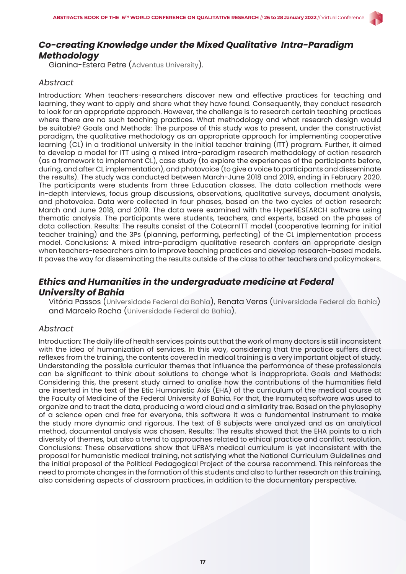

### *Co-creating Knowledge under the Mixed Qualitative Intra-Paradigm Methodology*

Gianina-Estera Petre (Adventus University).

#### *Abstract*

Introduction: When teachers-researchers discover new and effective practices for teaching and learning, they want to apply and share what they have found. Consequently, they conduct research to look for an appropriate approach. However, the challenge is to research certain teaching practices where there are no such teaching practices. What methodology and what research design would be suitable? Goals and Methods: The purpose of this study was to present, under the constructivist paradigm, the qualitative methodology as an appropriate approach for implementing cooperative learning (CL) in a traditional university in the initial teacher training (ITT) program. Further, it aimed to develop a model for ITT using a mixed intra-paradigm research methodology of action research (as a framework to implement CL), case study (to explore the experiences of the participants before, during, and after CL implementation), and photovoice (to give a voice to participants and disseminate the results). The study was conducted between March-June 2018 and 2019, ending in February 2020. The participants were students from three Education classes. The data collection methods were in-depth interviews, focus group discussions, observations, qualitative surveys, document analysis, and photovoice. Data were collected in four phases, based on the two cycles of action research: March and June 2018, and 2019. The data were examined with the HyperRESEARCH software using thematic analysis. The participants were students, teachers, and experts, based on the phases of data collection. Results: The results consist of the CoLearnITT model (cooperative learning for initial teacher training) and the 3Ps (planning, performing, perfecting) of the CL implementation process model. Conclusions: A mixed intra-paradigm qualitative research confers an appropriate design when teachers-researchers aim to improve teaching practices and develop research-based models. It paves the way for disseminating the results outside of the class to other teachers and policymakers.

# *Ethics and Humanities in the undergraduate medicine at Federal University of Bahia*

Vitória Passos (Universidade Federal da Bahia), Renata Veras (Universidade Federal da Bahia) and Marcelo Rocha (Universidade Federal da Bahia).

#### *Abstract*

Introduction: The daily life of health services points out that the work of many doctors is still inconsistent with the idea of humanization of services. In this way, considering that the practice suffers direct reflexes from the training, the contents covered in medical training is a very important object of study. Understanding the possible curricular themes that influence the performance of these professionals can be significant to think about solutions to change what is inappropriate. Goals and Methods: Considering this, the present study aimed to analise how the contributions of the humanities field are inserted in the text of the Etic Humanistic Axis (EHA) of the curriculum of the medical course at the Faculty of Medicine of the Federal University of Bahia. For that, the Iramuteq software was used to organize and to treat the data, producing a word cloud and a similarity tree. Based on the phylosophy of a science open and free for everyone, this software it was a fundamental instrument to make the study more dynamic and rigorous. The text of 8 subjects were analyzed and as an analytical method, documental analysis was chosen. Results: The results showed that the EHA points to a rich diversity of themes, but also a trend to approaches related to ethical practice and conflict resolution. Conclusions: These observations show that UFBA's medical curriculum is yet inconsistent with the proposal for humanistic medical training, not satisfying what the National Curriculum Guidelines and the initial proposal of the Political Pedagogical Project of the course recommend. This reinforces the need to promote changes in the formation of this students and also to further research on this training, also considering aspects of classroom practices, in addition to the documentary perspective.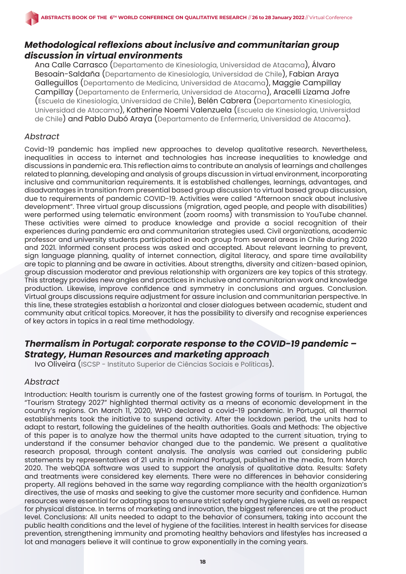# *Methodological reflexions about inclusive and communitarian group discussion in virtual environments*

Ana Calle Carrasco (Departamento de Kinesiología, Universidad de Atacama), Álvaro Besoain-Saldaña (Departamento de Kinesiología, Universidad de Chile), Fabian Araya Galleguillos (Departamento de Medicina, Universidad de Atacama), Maggie Campillay Campillay (Departamento de Enfermería, Universidad de Atacama), Aracelli Lizama Jofre (Escuela de Kinesiología, Universidad de Chile), Belén Cabrera (Departamento Kinesiología, Universidad de Atacama), Katherine Noemi Valenzuela (Escuela de Kinesiología, Universidad de Chile) and Pablo Dubó Araya (Departamento de Enfermería, Universidad de Atacama).

### *Abstract*

Covid-19 pandemic has implied new approaches to develop qualitative research. Nevertheless, inequalities in access to internet and technologies has increase inequalities to knowledge and discussions in pandemic era. This reflection aims to contribute an analysis of learnings and challenges related to planning, developing and analysis of groups discussion in virtual environment, incorporating inclusive and communitarian requirements. It is established challenges, learnings, advantages, and disadvantages in transition from presential based group discussion to virtual based group discussion, due to requirements of pandemic COVID-19. Activities were called "Afternoon snack about inclusive development". Three virtual group discussions (migration, aged people, and people with disabilities) were performed using telematic environment (zoom rooms) with transmission to YouTube channel. These activities were aimed to produce knowledge and provide a social recognition of their experiences during pandemic era and communitarian strategies used. Civil organizations, academic professor and university students participated in each group from several areas in Chile during 2020 and 2021. Informed consent process was asked and accepted. About relevant learning to prevent, sign language planning, quality of internet connection, digital literacy, and spare time availability are topic to planning and be aware in activities. About strengths, diversity and citizen-based opinion, group discussion moderator and previous relationship with organizers are key topics of this strategy. This strategy provides new angles and practices in inclusive and communitarian work and knowledge production. Likewise, improve confidence and symmetry in conclusions and argues. Conclusion. Virtual groups discussions require adjustment for assure inclusion and communitarian perspective. In this line, these strategies establish a horizontal and closer dialogues between academic, student and community abut critical topics. Moreover, it has the possibility to diversify and recognise experiences of key actors in topics in a real time methodology.

# *Thermalism in Portugal: corporate response to the COVID-19 pandemic – Strategy, Human Resources and marketing approach*

Ivo Oliveira (ISCSP - Instituto Superior de Ciências Sociais e Políticas).

#### *Abstract*

Introduction: Health tourism is currently one of the fastest growing forms of tourism. In Portugal, the "Tourism Strategy 2027" highlighted thermal activity as a means of economic development in the country's regions. On March 11, 2020, WHO declared a covid-19 pandemic. In Portugal, all thermal establishments took the initiative to suspend activity. After the lockdown period, the units had to adapt to restart, following the guidelines of the health authorities. Goals and Methods: The objective of this paper is to analyze how the thermal units have adapted to the current situation, trying to understand if the consumer behavior changed due to the pandemic. We present a qualitative research proposal, through content analysis. The analysis was carried out considering public statements by representatives of 21 units in mainland Portugal, published in the media, from March 2020. The webQDA software was used to support the analysis of qualitative data. Results: Safety and treatments were considered key elements. There were no differences in behavior considering property. All regions behaved in the same way regarding compliance with the health organization's directives, the use of masks and seeking to give the customer more security and confidence. Human resources were essential for adapting spas to ensure strict safety and hygiene rules, as well as respect for physical distance. In terms of marketing and innovation, the biggest references are at the product level. Conclusions: All units needed to adapt to the behavior of consumers, taking into account the public health conditions and the level of hygiene of the facilities. Interest in health services for disease prevention, strengthening immunity and promoting healthy behaviors and lifestyles has increased a lot and managers believe it will continue to grow exponentially in the coming years.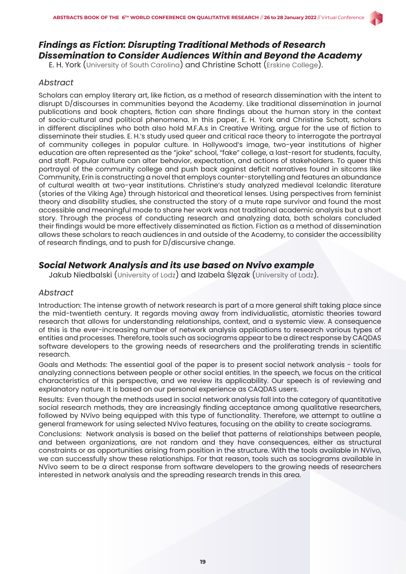# *Findings as Fiction: Disrupting Traditional Methods of Research Dissemination to Consider Audiences Within and Beyond the Academy*

E. H. York (University of South Carolina) and Christine Schott (Erskine College).

### *Abstract*

Scholars can employ literary art, like fiction, as a method of research dissemination with the intent to disrupt D/discourses in communities beyond the Academy. Like traditional dissemination in journal publications and book chapters, fiction can share findings about the human story in the context of socio-cultural and political phenomena. In this paper, E. H. York and Christine Schott, scholars in different disciplines who both also hold M.F.A.s in Creative Writing, argue for the use of fiction to disseminate their studies. E. H.'s study used queer and critical race theory to interrogate the portrayal of community colleges in popular culture. In Hollywood's image, two-year institutions of higher education are often represented as the "joke" school, "fake" college, a last-resort for students, faculty, and staff. Popular culture can alter behavior, expectation, and actions of stakeholders. To queer this portrayal of the community college and push back against deficit narratives found in sitcoms like Community, Erin is constructing a novel that employs counter-storytelling and features an abundance of cultural wealth at two-year institutions. Christine's study analyzed medieval Icelandic literature (stories of the Viking Age) through historical and theoretical lenses. Using perspectives from feminist theory and disability studies, she constructed the story of a mute rape survivor and found the most accessible and meaningful mode to share her work was not traditional academic analysis but a short story. Through the process of conducting research and analyzing data, both scholars concluded their findings would be more effectively disseminated as fiction. Fiction as a method of dissemination allows these scholars to reach audiences in and outside of the Academy, to consider the accessibility of research findings, and to push for D/discursive change.

# *Social Network Analysis and its use based on Nvivo example*

Jakub Niedbalski (University of Lodz) and Izabela Ślęzak (University of Lodz).

#### *Abstract*

Introduction: The intense growth of network research is part of a more general shift taking place since the mid-twentieth century. It regards moving away from individualistic, atomistic theories toward research that allows for understanding relationships, context, and a systemic view. A consequence of this is the ever-increasing number of network analysis applications to research various types of entities and processes. Therefore, tools such as sociograms appear to be a direct response by CAQDAS software developers to the growing needs of researchers and the proliferating trends in scientific research.

Goals and Methods: The essential goal of the paper is to present social network analysis - tools for analyzing connections between people or other social entities. In the speech, we focus on the critical characteristics of this perspective, and we review its applicability. Our speech is of reviewing and explanatory nature. It is based on our personal experience as CAQDAS users.

Results: Even though the methods used in social network analysis fall into the category of quantitative social research methods, they are increasingly finding acceptance among qualitative researchers, followed by NVivo being equipped with this type of functionality. Therefore, we attempt to outline a general framework for using selected NVivo features, focusing on the ability to create sociograms.

Conclusions: Network analysis is based on the belief that patterns of relationships between people, and between organizations, are not random and they have consequences, either as structural constraints or as opportunities arising from position in the structure. With the tools available in NVivo, we can successfully show these relationships. For that reason, tools such as sociograms available in NVivo seem to be a direct response from software developers to the growing needs of researchers interested in network analysis and the spreading research trends in this area.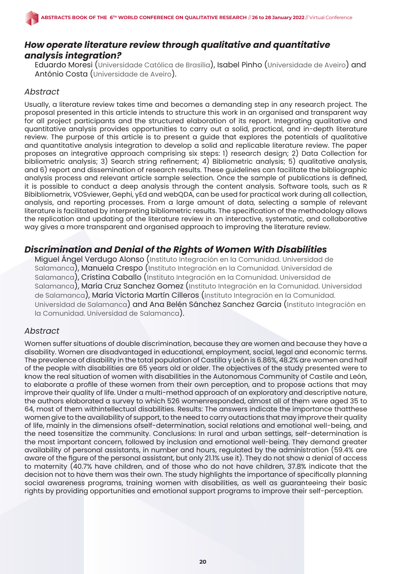# *How operate literature review through qualitative and quantitative analysis integration?*

Eduardo Moresi (Universidade Católica de Brasília), Isabel Pinho (Universidade de Aveiro) and António Costa (Universidade de Aveiro).

### *Abstract*

Usually, a literature review takes time and becomes a demanding step in any research project. The proposal presented in this article intends to structure this work in an organised and transparent way for all project participants and the structured elaboration of its report. Integrating qualitative and quantitative analysis provides opportunities to carry out a solid, practical, and in-depth literature review. The purpose of this article is to present a guide that explores the potentials of qualitative and quantitative analysis integration to develop a solid and replicable literature review. The paper proposes an integrative approach comprising six steps: 1) research design; 2) Data Collection for bibliometric analysis; 3) Search string refinement; 4) Bibliometric analysis; 5) qualitative analysis, and 6) report and dissemination of research results. These guidelines can facilitate the bibliographic analysis process and relevant article sample selection. Once the sample of publications is defined, it is possible to conduct a deep analysis through the content analysis. Software tools, such as R Bibibliometrix, VOSviewer, Gephi, yEd and webQDA, can be used for practical work during all collection, analysis, and reporting processes. From a large amount of data, selecting a sample of relevant literature is facilitated by interpreting bibliometric results. The specification of the methodology allows the replication and updating of the literature review in an interactive, systematic, and collaborative way gives a more transparent and organised approach to improving the literature review.

# *Discrimination and Denial of the Rights of Women With Disabilities*

Miguel Ángel Verdugo Alonso (Instituto Integración en la Comunidad. Universidad de Salamanca), Manuela Crespo (Instituto Integración en la Comunidad. Universidad de Salamanca), Cristina Caballo (Instituto Integración en la Comunidad. Universidad de Salamanca), María Cruz Sanchez Gomez (Instituto Integración en la Comunidad. Universidad de Salamanca), María Victoria Martín Cilleros (Instituto Integración en la Comunidad. Universidad de Salamanca) and Ana Belén Sánchez Sanchez Garcia (Instituto Integración en la Comunidad. Universidad de Salamanca).

#### *Abstract*

Women suffer situations of double discrimination, because they are women and because they have a disability. Women are disadvantaged in educational, employment, social, legal and economic terms. The prevalence of disability in the total population of Castilla y León is 6.86%, 48.2% are women and half of the people with disabilities are 65 years old or older. The objectives of the study presented were to know the real situation of women with disabilities in the Autonomous Community of Castile and León, to elaborate a profile of these women from their own perception, and to propose actions that may improve their quality of life. Under a multi-method approach of an exploratory and descriptive nature, the authors elaborated a survey to which 526 womenresponded, almost all of them were aged 35 to 64, most of them withintellectual disabilities. Results: The answers indicate the importance thatthese women give to the availability of support, to the need to carry outactions that may improve their quality of life, mainly in the dimensions ofself-determination, social relations and emotional well-being, and the need tosensitize the community. Conclusions: In rural and urban settings, self-determination is the most important concern, followed by inclusion and emotional well-being. They demand greater availability of personal assistants, in number and hours, regulated by the administration (59.4% are aware of the figure of the personal assistant, but only 21.1% use it). They do not show a denial of access to maternity (40.7% have children, and of those who do not have children, 37.8% indicate that the decision not to have them was their own. The study highlights the importance of specifically planning social awareness programs, training women with disabilities, as well as guaranteeing their basic rights by providing opportunities and emotional support programs to improve their self-perception.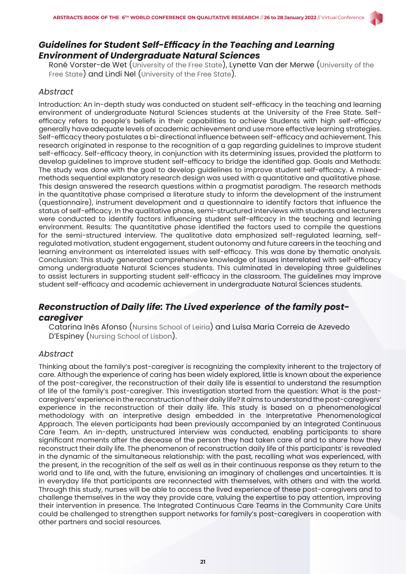

# *Guidelines for Student Self-Efficacy in the Teaching and Learning Environment of Undergraduate Natural Sciences*

Roné Vorster-de Wet (University of the Free State), Lynette Van der Merwe (University of the Free State) and Lindi Nel (University of the Free State).

### *Abstract*

Introduction: An in-depth study was conducted on student self-efficacy in the teaching and learning environment of undergraduate Natural Sciences students at the University of the Free State. Selfefficacy refers to people's beliefs in their capabilities to achieve Students with high self-efficacy generally have adequate levels of academic achievement and use more effective learning strategies. Self-efficacy theory postulates a bi-directional influence between self-efficacy and achievement. This research originated in response to the recognition of a gap regarding guidelines to improve student self-efficacy. Self-efficacy theory, in conjunction with its determining issues, provided the platform to develop guidelines to improve student self-efficacy to bridge the identified gap. Goals and Methods: The study was done with the goal to develop guidelines to improve student self-efficacy. A mixedmethods sequential explanatory research design was used with a quantitative and qualitative phase. This design answered the research questions within a pragmatist paradigm. The research methods in the quantitative phase comprised a literature study to inform the development of the instrument (questionnaire), instrument development and a questionnaire to identify factors that influence the status of self-efficacy. In the qualitative phase, semi-structured interviews with students and lecturers were conducted to identify factors influencing student self-efficacy in the teaching and learning environment. Results: The quantitative phase identified the factors used to compile the questions for the semi-structured interview. The qualitative data emphasized self-regulated learning, selfregulated motivation, student engagement, student autonomy and future careers in the teaching and learning environment as interrelated issues with self-efficacy. This was done by thematic analysis. Conclusion: This study generated comprehensive knowledge of issues interrelated with self-efficacy among undergraduate Natural Sciences students. This culminated in developing three guidelines to assist lecturers in supporting student self-efficacy in the classroom. The guidelines may improve student self-efficacy and academic achievement in undergraduate Natural Sciences students.

# *Reconstruction of Daily life: The Lived experience of the family postcaregiver*

Catarina Inês Afonso (Nursins School of Leiria) and Luísa Maria Correia de Azevedo D'Espiney (Nursing School of Lisbon).

#### *Abstract*

Thinking about the family's post-caregiver is recognizing the complexity inherent to the trajectory of care. Although the experience of caring has been widely explored, little is known about the experience of the post-caregiver, the reconstruction of their daily life is essential to understand the resumption of life of the family's post-caregiver. This investigation started from the question: What is the postcaregivers' experience in the reconstruction of their daily life? It aims to understand the post-caregivers' experience in the reconstruction of their daily life. This study is based on a phenomenological methodology with an interpretive design embedded in the Interpretative Phenomenological Approach. The eleven participants had been previously accompanied by an Integrated Continuous Care Team. An in-depth, unstructured interview was conducted, enabling participants to share significant moments after the decease of the person they had taken care of and to share how they reconstruct their daily life. The phenomenon of reconstruction daily life of this participants' is revealed in the dynamic of the simultaneous relationship: with the past, recalling what was experienced, with the present, in the recognition of the self as well as in their continuous response as they return to the world and to life and, with the future, envisioning an imaginary of challenges and uncertainties. It is in everyday life that participants are reconnected with themselves, with others and with the world. Through this study, nurses will be able to access the lived experience of these post-caregivers and to challenge themselves in the way they provide care, valuing the expertise to pay attention, improving their intervention in presence. The Integrated Continuous Care Teams in the Community Care Units could be challenged to strengthen support networks for family's post-caregivers in cooperation with other partners and social resources.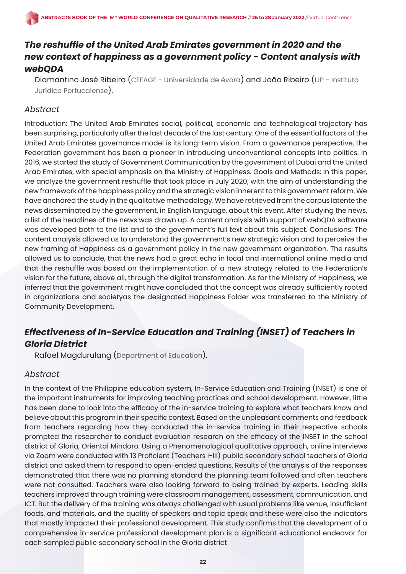# *The reshuffle of the United Arab Emirates government in 2020 and the new context of happiness as a government policy - Content analysis with webQDA*

Diamantino José Ribeiro (CEFAGE - Universidade de évora) and João Ribeiro (IJP - Instituto Jurídico Portucalense).

### *Abstract*

Introduction: The United Arab Emirates social, political, economic and technological trajectory has been surprising, particularly after the last decade of the last century. One of the essential factors of the United Arab Emirates governance model is its long-term vision. From a governance perspective, the Federation government has been a pioneer in introducing unconventional concepts into politics. In 2016, we started the study of Government Communication by the government of Dubai and the United Arab Emirates, with special emphasis on the Ministry of Happiness. Goals and Methods: In this paper, we analyze the government reshuffle that took place in July 2020, with the aim of understanding the new framework of the happiness policy and the strategic vision inherent to this government reform. We have anchored the study in the qualitative methodology. We have retrieved from the corpus latente the news disseminated by the government, in English language, about this event. After studying the news, a list of the headlines of the news was drawn up. A content analysis with support of webQDA software was developed both to the list and to the government's full text about this subject. Conclusions: The content analysis allowed us to understand the government's new strategic vision and to perceive the new framing of Happiness as a government policy in the new government organization. The results allowed us to conclude, that the news had a great echo in local and international online media and that the reshuffle was based on the implementation of a new strategy related to the Federation's vision for the future, above all, through the digital transformation. As for the Ministry of Happiness, we inferred that the government might have concluded that the concept was already sufficiently rooted in organizations and societyas the designated Happiness Folder was transferred to the Ministry of Community Development.

# *Effectiveness of In-Service Education and Training (INSET) of Teachers in Gloria District*

Rafael Magdurulang (Department of Education).

# *Abstract*

In the context of the Philippine education system, In-Service Education and Training (INSET) is one of the important instruments for improving teaching practices and school development. However, little has been done to look into the efficacy of the in-service training to explore what teachers know and believe about this program in their specific context. Based on the unpleasant comments and feedback from teachers regarding how they conducted the in-service training in their respective schools prompted the researcher to conduct evaluation research on the efficacy of the INSET in the school district of Gloria, Oriental Mindoro. Using a Phenomenological qualitative approach, online interviews via Zoom were conducted with 13 Proficient (Teachers I-III) public secondary school teachers of Gloria district and asked them to respond to open-ended questions. Results of the analysis of the responses demonstrated that there was no planning standard the planning team followed and often teachers were not consulted. Teachers were also looking forward to being trained by experts. Leading skills teachers improved through training were classroom management, assessment, communication, and ICT. But the delivery of the training was always challenged with usual problems like venue, insufficient foods, and materials, and the quality of speakers and topic speak and these were also the indicators that mostly impacted their professional development. This study confirms that the development of a comprehensive in-service professional development plan is a significant educational endeavor for each sampled public secondary school in the Gloria district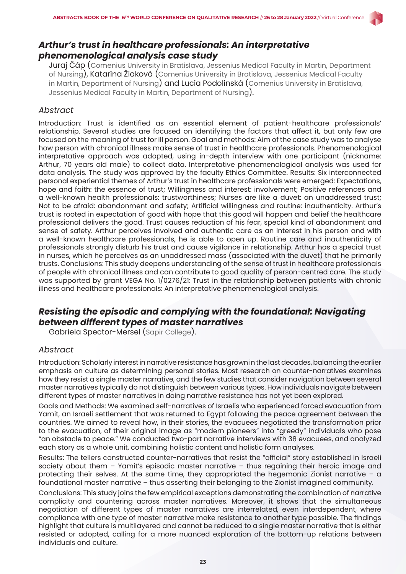

Juraj Čáp (Comenius University in Bratislava, Jessenius Medical Faculty in Martin, Department of Nursing), Katarína Žiaková (Comenius University in Bratislava, Jessenius Medical Faculty in Martin, Department of Nursing) and Lucia Podolinská (Comenius University in Bratislava, Jessenius Medical Faculty in Martin, Department of Nursing).

#### *Abstract*

Introduction: Trust is identified as an essential element of patient-healthcare professionals' relationship. Several studies are focused on identifying the factors that affect it, but only few are focused on the meaning of trust for ill person. Goal and methods: Aim of the case study was to analyse how person with chronical illness make sense of trust in healthcare professionals. Phenomenological interpretative approach was adopted, using in-depth interview with one participant (nickname: Arthur, 70 years old male) to collect data. Interpretative phenomenological analysis was used for data analysis. The study was approved by the faculty Ethics Committee. Results: Six interconnected personal experiential themes of Arthur's trust in healthcare professionals were emerged: Expectations, hope and faith: the essence of trust; Willingness and interest: involvement; Positive references and a well-known health professionals: trustworthiness; Nurses are like a duvet: an unaddressed trust; Not to be afraid: abandonment and safety; Artificial willingness and routine: inauthenticity. Arthur's trust is rooted in expectation of good with hope that this good will happen and belief the healthcare professional delivers the good. Trust causes reduction of his fear, special kind of abandonment and sense of safety. Arthur perceives involved and authentic care as an interest in his person and with a well-known healthcare professionals, he is able to open up. Routine care and inauthenticity of professionals strongly disturb his trust and cause vigilance in relationship. Arthur has a special trust in nurses, which he perceives as an unaddressed mass (associated with the duvet) that he primarily trusts. Conclusions: This study deepens understanding of the sense of trust in healthcare professionals of people with chronical illness and can contribute to good quality of person-centred care. The study was supported by grant VEGA No. 1/0276/21: Trust in the relationship between patients with chronic illness and healthcare professionals: An interpretative phenomenological analysis.

# *Resisting the episodic and complying with the foundational: Navigating between different types of master narratives*

Gabriela Spector-Mersel (Sapir College).

#### *Abstract*

Introduction: Scholarly interest in narrative resistance has grown in the last decades, balancing the earlier emphasis on culture as determining personal stories. Most research on counter-narratives examines how they resist a single master narrative, and the few studies that consider navigation between several master narratives typically do not distinguish between various types. How individuals navigate between different types of master narratives in doing narrative resistance has not yet been explored.

Goals and Methods: We examined self-narratives of Israelis who experienced forced evacuation from Yamit, an Israeli settlement that was returned to Egypt following the peace agreement between the countries. We aimed to reveal how, in their stories, the evacuees negotiated the transformation prior to the evacuation, of their original image as "modern pioneers" into "greedy" individuals who pose "an obstacle to peace." We conducted two-part narrative interviews with 38 evacuees, and analyzed each story as a whole unit, combining holistic content and holistic form analyses.

Results: The tellers constructed counter-narratives that resist the "official" story established in Israeli society about them – Yamit's episodic master narrative – thus regaining their heroic image and protecting their selves. At the same time, they appropriated the hegemonic Zionist narrative  $-$  a foundational master narrative – thus asserting their belonging to the Zionist imagined community.

Conclusions: This study joins the few empirical exceptions demonstrating the combination of narrative complicity and countering across master narratives. Moreover, it shows that the simultaneous negotiation of different types of master narratives are interrelated, even interdependent, where compliance with one type of master narrative make resistance to another type possible. The findings highlight that culture is multilayered and cannot be reduced to a single master narrative that is either resisted or adopted, calling for a more nuanced exploration of the bottom-up relations between individuals and culture.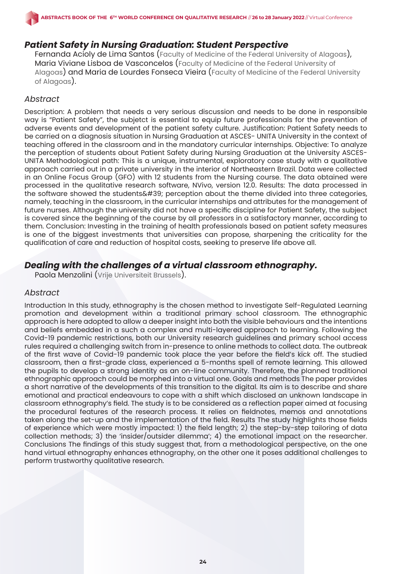# *Patient Safety in Nursing Graduation: Student Perspective*

Fernanda Acioly de Lima Santos (Faculty of Medicine of the Federal University of Alagoas), Maria Viviane Lisboa de Vasconcelos (Faculty of Medicine of the Federal University of Alagoas) and Maria de Lourdes Fonseca Vieira (Faculty of Medicine of the Federal University of Alagoas).

### *Abstract*

Description: A problem that needs a very serious discussion and needs to be done in responsible way is "Patient Safety", the subjetct is essential to equip future professionals for the prevention of adverse events and development of the patient safety culture. Justification: Patient Safety needs to be carried on a diagnosis situation in Nursing Graduation at ASCES- UNITA University in the context of teaching offered in the classroom and in the mandatory curricular internships. Objective: To analyze the perception of students about Patient Safety during Nursing Graduation at the University ASCES-UNITA Methodological path: This is a unique, instrumental, exploratory case study with a qualitative approach carried out in a private university in the interior of Northeastern Brazil. Data were collected in an Online Focus Group (GFO) with 12 students from the Nursing course. The data obtained were processed in the qualitative research software, NVivo, version 12.0. Results: The data processed in the software showed the students  $439$ ; perception about the theme divided into three categories, namely, teaching in the classroom, in the curricular internships and attributes for the management of future nurses. Although the university did not have a specific discipline for Patient Safety, the subject is covered since the beginning of the course by all professors in a satisfactory manner, according to them. Conclusion: Investing in the training of health professionals based on patient safety measures is one of the biggest investments that universities can propose, sharpening the criticality for the qualification of care and reduction of hospital costs, seeking to preserve life above all.

# *Dealing with the challenges of a virtual classroom ethnography.*

Paola Menzolini (Vrije Universiteit Brussels).

#### *Abstract*

Introduction In this study, ethnography is the chosen method to investigate Self-Regulated Learning promotion and development within a traditional primary school classroom. The ethnographic approach is here adopted to allow a deeper insight into both the visible behaviours and the intentions and beliefs embedded in a such a complex and multi-layered approach to learning. Following the Covid-19 pandemic restrictions, both our University research guidelines and primary school access rules required a challenging switch from in-presence to online methods to collect data. The outbreak of the first wave of Covid-19 pandemic took place the year before the field's kick off. The studied classroom, then a first-grade class, experienced a 5-months spell of remote learning. This allowed the pupils to develop a strong identity as an on-line community. Therefore, the planned traditional ethnographic approach could be morphed into a virtual one. Goals and methods The paper provides a short narrative of the developments of this transition to the digital. Its aim is to describe and share emotional and practical endeavours to cope with a shift which disclosed an unknown landscape in classroom ethnography's field. The study is to be considered as a reflection paper aimed at focusing the procedural features of the research process. It relies on fieldnotes, memos and annotations taken along the set-up and the implementation of the field. Results The study highlights those fields of experience which were mostly impacted: 1) the field length; 2) the step-by-step tailoring of data collection methods; 3) the 'insider/outsider dilemma'; 4) the emotional impact on the researcher. Conclusions The findings of this study suggest that, from a methodological perspective, on the one hand virtual ethnography enhances ethnography, on the other one it poses additional challenges to perform trustworthy qualitative research.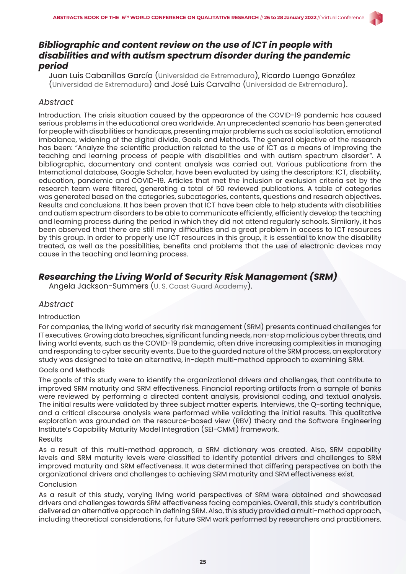# *Bibliographic and content review on the use of ICT in people with disabilities and with autism spectrum disorder during the pandemic period*

Juan Luis Cabanillas García (Universidad de Extremadura), Ricardo Luengo González (Universidad de Extremadura) and José Luis Carvalho (Universidad de Extremadura).

### *Abstract*

Introduction. The crisis situation caused by the appearance of the COVID-19 pandemic has caused serious problems in the educational area worldwide. An unprecedented scenario has been generated for people with disabilities or handicaps, presenting major problems such as social isolation, emotional imbalance, widening of the digital divide, Goals and Methods. The general objective of the research has been: "Analyze the scientific production related to the use of ICT as a means of improving the teaching and learning process of people with disabilities and with autism spectrum disorder". A bibliographic, documentary and content analysis was carried out. Various publications from the International database, Google Scholar, have been evaluated by using the descriptors: ICT, disability, education, pandemic and COVID-19. Articles that met the inclusion or exclusion criteria set by the research team were filtered, generating a total of 50 reviewed publications. A table of categories was generated based on the categories, subcategories, contents, questions and research objectives. Results and conclusions. It has been proven that ICT have been able to help students with disabilities and autism spectrum disorders to be able to communicate efficiently, efficiently develop the teaching and learning process during the period in which they did not attend regularly schools. Similarly, it has been observed that there are still many difficulties and a great problem in access to ICT resources by this group. In order to properly use ICT resources in this group, it is essential to know the disability treated, as well as the possibilities, benefits and problems that the use of electronic devices may cause in the teaching and learning process.

# *Researching the Living World of Security Risk Management (SRM)*

Angela Jackson-Summers (U. S. Coast Guard Academy).

#### *Abstract*

#### Introduction

For companies, the living world of security risk management (SRM) presents continued challenges for IT executives. Growing data breaches, significant funding needs, non-stop malicious cyber threats, and living world events, such as the COVID-19 pandemic, often drive increasing complexities in managing and responding to cyber security events. Due to the guarded nature of the SRM process, an exploratory study was designed to take an alternative, in-depth multi-method approach to examining SRM.

#### Goals and Methods

The goals of this study were to identify the organizational drivers and challenges, that contribute to improved SRM maturity and SRM effectiveness. Financial reporting artifacts from a sample of banks were reviewed by performing a directed content analysis, provisional coding, and textual analysis. The initial results were validated by three subject matter experts. Interviews, the Q-sorting technique, and a critical discourse analysis were performed while validating the initial results. This qualitative exploration was grounded on the resource-based view (RBV) theory and the Software Engineering Institute's Capability Maturity Model Integration (SEI-CMMI) framework.

#### Results

As a result of this multi-method approach, a SRM dictionary was created. Also, SRM capability levels and SRM maturity levels were classified to identify potential drivers and challenges to SRM improved maturity and SRM effectiveness. It was determined that differing perspectives on both the organizational drivers and challenges to achieving SRM maturity and SRM effectiveness exist.

#### Conclusion

As a result of this study, varying living world perspectives of SRM were obtained and showcased drivers and challenges towards SRM effectiveness facing companies. Overall, this study's contribution delivered an alternative approach in defining SRM. Also, this study provided a multi-method approach, including theoretical considerations, for future SRM work performed by researchers and practitioners.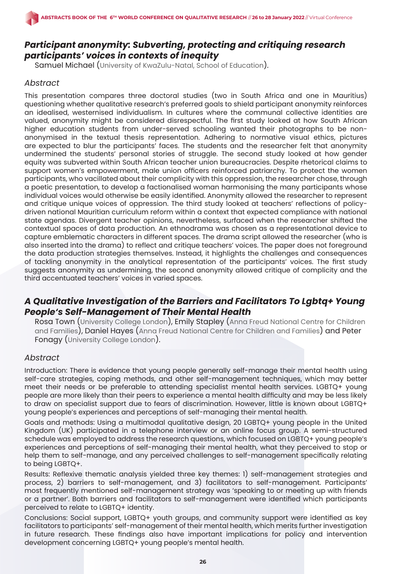# *Participant anonymity: Subverting, protecting and critiquing research participants' voices in contexts of inequity*

Samuel Michael (University of KwaZulu-Natal, School of Education).

# *Abstract*

This presentation compares three doctoral studies (two in South Africa and one in Mauritius) questioning whether qualitative research's preferred goals to shield participant anonymity reinforces an idealised, westernised individualism. In cultures where the communal collective identities are valued, anonymity might be considered disrespectful. The first study looked at how South African higher education students from under-served schooling wanted their photographs to be nonanonymised in the textual thesis representation. Adhering to normative visual ethics, pictures are expected to blur the participants' faces. The students and the researcher felt that anonymity undermined the students' personal stories of struggle. The second study looked at how gender equity was subverted within South African teacher union bureaucracies. Despite rhetorical claims to support women's empowerment, male union officers reinforced patriarchy. To protect the women participants, who vacillated about their complicity with this oppression, the researcher chose, through a poetic presentation, to develop a factionalised woman harmonising the many participants whose individual voices would otherwise be easily identified. Anonymity allowed the researcher to represent and critique unique voices of oppression. The third study looked at teachers' reflections of policydriven national Mauritian curriculum reform within a context that expected compliance with national state agendas. Divergent teacher opinions, nevertheless, surfaced when the researcher shifted the contextual spaces of data production. An ethnodrama was chosen as a representational device to capture emblematic characters in different spaces. The drama script allowed the researcher (who is also inserted into the drama) to reflect and critique teachers' voices. The paper does not foreground the data production strategies themselves. Instead, it highlights the challenges and consequences of tackling anonymity in the analytical representation of the participants' voices. The first study suggests anonymity as undermining, the second anonymity allowed critique of complicity and the third accentuated teachers' voices in varied spaces.

# *A Qualitative Investigation of the Barriers and Facilitators To Lgbtq+ Young People's Self-Management of Their Mental Health*

Rosa Town (University College London), Emily Stapley (Anna Freud National Centre for Children and Families), Daniel Hayes (Anna Freud National Centre for Children and Families) and Peter Fonagy (University College London).

#### *Abstract*

Introduction: There is evidence that young people generally self-manage their mental health using self-care strategies, coping methods, and other self-management techniques, which may better meet their needs or be preferable to attending specialist mental health services. LGBTQ+ young people are more likely than their peers to experience a mental health difficulty and may be less likely to draw on specialist support due to fears of discrimination. However, little is known about LGBTQ+ young people's experiences and perceptions of self-managing their mental health.

Goals and methods: Using a multimodal qualitative design, 20 LGBTQ+ young people in the United Kingdom (UK) participated in a telephone interview or an online focus group. A semi-structured schedule was employed to address the research questions, which focused on LGBTQ+ young people's experiences and perceptions of self-managing their mental health, what they perceived to stop or help them to self-manage, and any perceived challenges to self-management specifically relating to being LGBTQ+.

Results: Reflexive thematic analysis yielded three key themes: 1) self-management strategies and process, 2) barriers to self-management, and 3) facilitators to self-management. Participants' most frequently mentioned self-management strategy was 'speaking to or meeting up with friends or a partner'. Both barriers and facilitators to self-management were identified which participants perceived to relate to LGBTQ+ identity.

Conclusions: Social support, LGBTQ+ youth groups, and community support were identified as key facilitators to participants' self-management of their mental health, which merits further investigation in future research. These findings also have important implications for policy and intervention development concerning LGBTQ+ young people's mental health.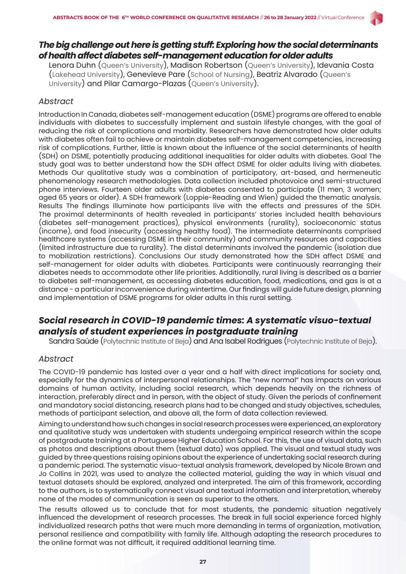# *The big challenge out here is getting stuff: Exploring how the social determinants of health affect diabetes self-management education for older adults*

Lenora Duhn (Queen's University), Madison Robertson (Queen's University), Idevania Costa (Lakehead University), Genevieve Pare (School of Nursing), Beatriz Alvarado (Queen's University) and Pilar Camargo-Plazas (Queen's University).

#### *Abstract*

Introduction In Canada, diabetes self-management education (DSME) programs are offered to enable individuals with diabetes to successfully implement and sustain lifestyle changes, with the goal of reducing the risk of complications and morbidity. Researchers have demonstrated how older adults with diabetes often fail to achieve or maintain diabetes self-management competencies, increasing risk of complications. Further, little is known about the influence of the social determinants of health (SDH) on DSME, potentially producing additional inequalities for older adults with diabetes. Goal The study goal was to better understand how the SDH affect DSME for older adults living with diabetes. Methods Our qualitative study was a combination of participatory, art-based, and hermeneutic phenomenology research methodologies. Data collection included photovoice and semi-structured phone interviews. Fourteen older adults with diabetes consented to participate (11 men, 3 women; aged 65 years or older). A SDH framework (Loppie-Reading and Wien) guided the thematic analysis. Results The findings illuminate how participants live with the effects and pressures of the SDH. The proximal determinants of health revealed in participants' stories included health behaviours (diabetes self-management practices), physical environments (rurality), socioeconomic status (income), and food insecurity (accessing healthy food). The intermediate determinants comprised healthcare systems (accessing DSME in their community) and community resources and capacities (limited infrastructure due to rurality). The distal determinants involved the pandemic (isolation due to mobilization restrictions). Conclusions Our study demonstrated how the SDH affect DSME and self-management for older adults with diabetes. Participants were continuously rearranging their diabetes needs to accommodate other life priorities. Additionally, rural living is described as a barrier to diabetes self-management, as accessing diabetes education, food, medications, and gas is at a distance - a particular inconvenience during wintertime. Our findings will guide future design, planning and implementation of DSME programs for older adults in this rural setting.

# *Social research in COVID-19 pandemic times: A systematic visuo-textual analysis of student experiences in postgraduate training*

Sandra Saúde (Polytechnic Institute of Beja) and Ana Isabel Rodrigues (Polytechnic Institute of Beja).

#### *Abstract*

The COVID-19 pandemic has lasted over a year and a half with direct implications for society and, especially for the dynamics of interpersonal relationships. The "new normal" has impacts on various domains of human activity, including social research, which depends heavily on the richness of interaction, preferably direct and in person, with the object of study. Given the periods of confinement and mandatory social distancing, research plans had to be changed and study objectives, schedules, methods of participant selection, and above all, the form of data collection reviewed.

Aiming to understand how such changes in social research processes were experienced, an exploratory and qualitative study was undertaken with students undergoing empirical research within the scope of postgraduate training at a Portuguese Higher Education School. For this, the use of visual data, such as photos and descriptions about them (textual data) was applied. The visual and textual study was guided by three questions raising opinions about the experience of undertaking social research during a pandemic period. The systematic visuo-textual analysis framework, developed by Nicole Brown and Jo Collins in 2021, was used to analyze the collected material, guiding the way in which visual and textual datasets should be explored, analyzed and interpreted. The aim of this framework, according to the authors, is to systematically connect visual and textual information and interpretation, whereby none of the modes of communication is seen as superior to the others.

The results allowed us to conclude that for most students, the pandemic situation negatively influenced the development of research processes. The break in full social experience forced highly individualized research paths that were much more demanding in terms of organization, motivation, personal resilience and compatibility with family life. Although adapting the research procedures to the online format was not difficult, it required additional learning time.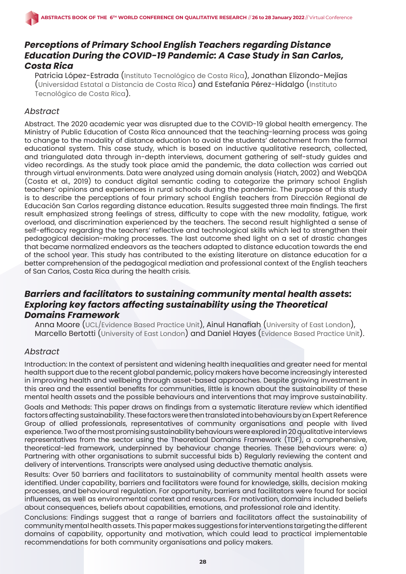# *Perceptions of Primary School English Teachers regarding Distance Education During the COVID-19 Pandemic: A Case Study in San Carlos, Costa Rica*

Patricia López-Estrada (Instituto Tecnológico de Costa Rica), Jonathan Elizondo-Mejías (Universidad Estatal a Distancia de Costa Rica) and Estefanía Pérez-Hidalgo (Instituto Tecnológico de Costa Rica).

### *Abstract*

Abstract. The 2020 academic year was disrupted due to the COVID-19 global health emergency. The Ministry of Public Education of Costa Rica announced that the teaching-learning process was going to change to the modality of distance education to avoid the students' detachment from the formal educational system. This case study, which is based on inductive qualitative research, collected, and triangulated data through in-depth interviews, document gathering of self-study guides and video recordings. As the study took place amid the pandemic, the data collection was carried out through virtual environments. Data were analyzed using domain analysis (Hatch, 2002) and WebQDA (Costa et al., 2019) to conduct digital semantic coding to categorize the primary school English teachers' opinions and experiences in rural schools during the pandemic. The purpose of this study is to describe the perceptions of four primary school English teachers from Dirección Regional de Educación San Carlos regarding distance education. Results suggested three main findings. The first result emphasized strong feelings of stress, difficulty to cope with the new modality, fatigue, work overload, and discrimination experienced by the teachers. The second result highlighted a sense of self-efficacy regarding the teachers' reflective and technological skills which led to strengthen their pedagogical decision-making processes. The last outcome shed light on a set of drastic changes that became normalized endeavors as the teachers adapted to distance education towards the end of the school year. This study has contributed to the existing literature on distance education for a better comprehension of the pedagogical mediation and professional context of the English teachers of San Carlos, Costa Rica during the health crisis.

# *Barriers and facilitators to sustaining community mental health assets: Exploring key factors affecting sustainability using the Theoretical Domains Framework*

Anna Moore (UCL/Evidence Based Practice Unit), Ainul Hanafiah (University of East London), Marcello Bertotti (University of East London) and Daniel Hayes (Evidence Based Practice Unit).

# *Abstract*

Introduction: In the context of persistent and widening health inequalities and greater need for mental health support due to the recent global pandemic, policy makers have become increasingly interested in improving health and wellbeing through asset-based approaches. Despite growing investment in this area and the essential benefits for communities, little is known about the sustainability of these mental health assets and the possible behaviours and interventions that may improve sustainability.

Goals and Methods: This paper draws on findings from a systematic literature review which identified factors affecting sustainability. These factors were then translated into behaviours by an Expert Reference Group of allied professionals, representatives of community organisations and people with lived experience. Two of the most promising sustainability behaviours were explored in 20 qualitative interviews representatives from the sector using the Theoretical Domains Framework (TDF), a comprehensive, theoretical-led framework, underpinned by behaviour change theories. These behaviours were: a) Partnering with other organisations to submit successful bids b) Regularly reviewing the content and delivery of interventions. Transcripts were analysed using deductive thematic analysis.

Results: Over 50 barriers and facilitators to sustainability of community mental health assets were identified. Under capability, barriers and facilitators were found for knowledge, skills, decision making processes, and behavioural regulation. For opportunity, barriers and facilitators were found for social influences, as well as environmental context and resources. For motivation, domains included beliefs about consequences, beliefs about capabilities, emotions, and professional role and identity.

Conclusions: Findings suggest that a range of barriers and facilitators affect the sustainability of community mental health assets. This paper makes suggestions for interventions targeting the different domains of capability, opportunity and motivation, which could lead to practical implementable recommendations for both community organisations and policy makers.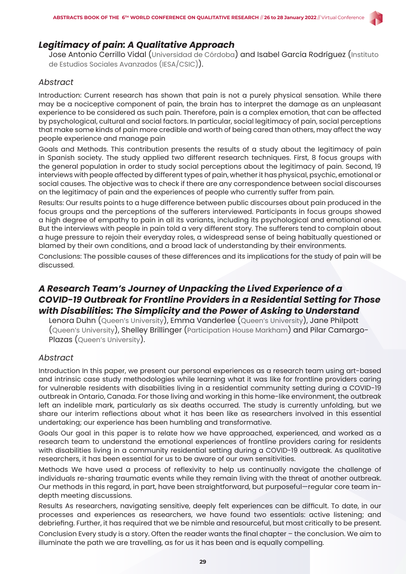### *Legitimacy of pain: A Qualitative Approach*

Jose Antonio Cerrillo Vidal (Universidad de Córdoba) and Isabel García Rodríguez (Instituto de Estudios Sociales Avanzados (IESA/CSIC)).

#### *Abstract*

Introduction: Current research has shown that pain is not a purely physical sensation. While there may be a nociceptive component of pain, the brain has to interpret the damage as an unpleasant experience to be considered as such pain. Therefore, pain is a complex emotion, that can be affected by psychological, cultural and social factors. In particular, social legitimacy of pain, social perceptions that make some kinds of pain more credible and worth of being cared than others, may affect the way people experience and manage pain

Goals and Methods. This contribution presents the results of a study about the legitimacy of pain in Spanish society. The study applied two different research techniques. First, 8 focus groups with the general population in order to study social perceptions about the legitimacy of pain. Second, 19 interviews with people affected by different types of pain, whether it has physical, psychic, emotional or social causes. The objective was to check if there are any correspondence between social discourses on the legitimacy of pain and the experiences of people who currently suffer from pain.

Results: Our results points to a huge difference between public discourses about pain produced in the focus groups and the perceptions of the sufferers interviewed. Participants in focus groups showed a high degree of empathy to pain in all its variants, including its psychological and emotional ones. But the interviews with people in pain told a very different story. The sufferers tend to complain about a huge pressure to rejoin their everyday roles, a widespread sense of being habitually questioned or blamed by their own conditions, and a broad lack of understanding by their environments.

Conclusions: The possible causes of these differences and its implications for the study of pain will be discussed.

# *A Research Team's Journey of Unpacking the Lived Experience of a COVID-19 Outbreak for Frontline Providers in a Residential Setting for Those with Disabilities: The Simplicity and the Power of Asking to Understand*

Lenora Duhn (Queen's University), Emma Vanderlee (Queen's University), Jane Philpott (Queen's University), Shelley Brillinger (Participation House Markham) and Pilar Camargo-Plazas (Queen's University).

#### *Abstract*

Introduction In this paper, we present our personal experiences as a research team using art-based and intrinsic case study methodologies while learning what it was like for frontline providers caring for vulnerable residents with disabilities living in a residential community setting during a COVID-19 outbreak in Ontario, Canada. For those living and working in this home-like environment, the outbreak left an indelible mark, particularly as six deaths occurred. The study is currently unfolding, but we share our interim reflections about what it has been like as researchers involved in this essential undertaking; our experience has been humbling and transformative.

Goals Our goal in this paper is to relate how we have approached, experienced, and worked as a research team to understand the emotional experiences of frontline providers caring for residents with disabilities living in a community residential setting during a COVID-19 outbreak. As qualitative researchers, it has been essential for us to be aware of our own sensitivities.

Methods We have used a process of reflexivity to help us continually navigate the challenge of individuals re-sharing traumatic events while they remain living with the threat of another outbreak. Our methods in this regard, in part, have been straightforward, but purposeful—regular core team indepth meeting discussions.

Results As researchers, navigating sensitive, deeply felt experiences can be difficult. To date, in our processes and experiences as researchers, we have found two essentials: active listening; and debriefing. Further, it has required that we be nimble and resourceful, but most critically to be present. Conclusion Every study is a story. Often the reader wants the final chapter – the conclusion. We aim to illuminate the path we are travelling, as for us it has been and is equally compelling.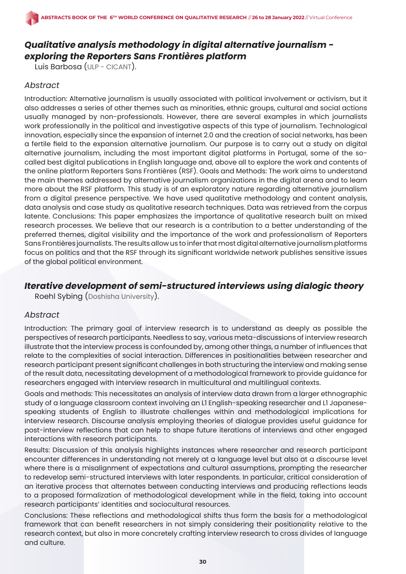# *Qualitative analysis methodology in digital alternative journalism exploring the Reporters Sans Frontières platform*

Luis Barbosa (ULP - CICANT).

#### *Abstract*

Introduction: Alternative journalism is usually associated with political involvement or activism, but it also addresses a series of other themes such as minorities, ethnic groups, cultural and social actions usually managed by non-professionals. However, there are several examples in which journalists work professionally in the political and investigative aspects of this type of journalism. Technological innovation, especially since the expansion of internet 2.0 and the creation of social networks, has been a fertile field to the expansion alternative journalism. Our purpose is to carry out a study on digital alternative journalism, including the most important digital platforms in Portugal, some of the socalled best digital publications in English language and, above all to explore the work and contents of the online platform Reporters Sans Frontières (RSF). Goals and Methods: The work aims to understand the main themes addressed by alternative journalism organizations in the digital arena and to learn more about the RSF platform. This study is of an exploratory nature regarding alternative journalism from a digital presence perspective. We have used qualitative methodology and content analysis, data analysis and case study as qualitative research techniques. Data was retrieved from the corpus latente. Conclusions: This paper emphasizes the importance of qualitative research built on mixed research processes. We believe that our research is a contribution to a better understanding of the preferred themes, digital visibility and the importance of the work and professionalism of Reporters Sans Frontières journalists. The results allow us to infer that most digital alternative journalism platforms focus on politics and that the RSF through its significant worldwide network publishes sensitive issues of the global political environment.

### *Iterative development of semi-structured interviews using dialogic theory*

Roehl Sybing (Doshisha University).

#### *Abstract*

Introduction: The primary goal of interview research is to understand as deeply as possible the perspectives of research participants. Needless to say, various meta-discussions of interview research illustrate that the interview process is confounded by, among other things, a number of influences that relate to the complexities of social interaction. Differences in positionalities between researcher and research participant present significant challenges in both structuring the interview and making sense of the result data, necessitating development of a methodological framework to provide guidance for researchers engaged with interview research in multicultural and multilingual contexts.

Goals and methods: This necessitates an analysis of interview data drawn from a larger ethnographic study of a language classroom context involving an L1 English-speaking researcher and L1 Japanesespeaking students of English to illustrate challenges within and methodological implications for interview research. Discourse analysis employing theories of dialogue provides useful guidance for post-interview reflections that can help to shape future iterations of interviews and other engaged interactions with research participants.

Results: Discussion of this analysis highlights instances where researcher and research participant encounter differences in understanding not merely at a language level but also at a discourse level where there is a misalignment of expectations and cultural assumptions, prompting the researcher to redevelop semi-structured interviews with later respondents. In particular, critical consideration of an iterative process that alternates between conducting interviews and producing reflections leads to a proposed formalization of methodological development while in the field, taking into account research participants' identities and sociocultural resources.

Conclusions: These reflections and methodological shifts thus form the basis for a methodological framework that can benefit researchers in not simply considering their positionality relative to the research context, but also in more concretely crafting interview research to cross divides of language and culture.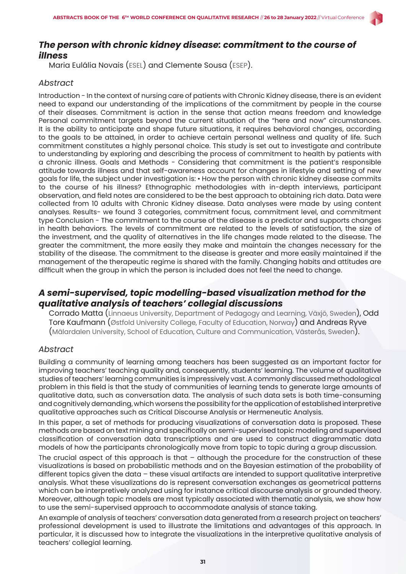

# *The person with chronic kidney disease: commitment to the course of illness*

Maria Eulália Novais (ESEL) and Clemente Sousa (ESEP).

# *Abstract*

Introduction - In the context of nursing care of patients with Chronic Kidney disease, there is an evident need to expand our understanding of the implications of the commitment by people in the course of their diseases. Commitment is action in the sense that action means freedom and knowledge Personal commitment targets beyond the current situation of the "here and now" circumstances. It is the ability to anticipate and shape future situations, it requires behavioral changes, according to the goals to be attained, in order to achieve certain personal wellness and quality of life. Such commitment constitutes a highly personal choice. This study is set out to investigate and contribute to understanding by exploring and describing the process of commitment to health by patients with a chronic illness. Goals and Methods - Considering that commitment is the patient's responsible attitude towards illness and that self-awareness account for changes in lifestyle and setting of new goals for life, the subject under investigation is: • How the person with chronic kidney disease commits to the course of his illness? Ethnographic methodologies with in-depth interviews, participant observation, and field notes are considered to be the best approach to obtaining rich data. Data were collected from 10 adults with Chronic Kidney disease. Data analyses were made by using content analyses. Results- we found 3 categories, commitment focus, commitment level, and commitment type Conclusion - The commitment to the course of the disease is a predictor and supports changes in health behaviors. The levels of commitment are related to the levels of satisfaction, the size of the investment, and the quality of alternatives in the life changes made related to the disease. The greater the commitment, the more easily they make and maintain the changes necessary for the stability of the disease. The commitment to the disease is greater and more easily maintained if the management of the therapeutic regime is shared with the family. Changing habits and attitudes are difficult when the group in which the person is included does not feel the need to change.

# *A semi-supervised, topic modelling-based visualization method for the qualitative analysis of teachers' collegial discussions*

Corrado Matta (Linnaeus University, Department of Pedagogy and Learning, Växjö, Sweden), Odd Tore Kaufmann (Østfold University College, Faculty of Education, Norway) and Andreas Ryve (Mälardalen University, School of Education, Culture and Communication, Västerås, Sweden).

# *Abstract*

Building a community of learning among teachers has been suggested as an important factor for improving teachers' teaching quality and, consequently, students' learning. The volume of qualitative studies of teachers' learning communities is impressively vast. A commonly discussed methodological problem in this field is that the study of communities of learning tends to generate large amounts of qualitative data, such as conversation data. The analysis of such data sets is both time-consuming and cognitively demanding, which worsens the possibility for the application of established interpretive qualitative approaches such as Critical Discourse Analysis or Hermeneutic Analysis.

In this paper, a set of methods for producing visualizations of conversation data is proposed. These methods are based on text mining and specifically on semi-supervised topic modeling and supervised classification of conversation data transcriptions and are used to construct diagrammatic data models of how the participants chronologically move from topic to topic during a group discussion.

The crucial aspect of this approach is that – although the procedure for the construction of these visualizations is based on probabilistic methods and on the Bayesian estimation of the probability of different topics given the data – these visual artifacts are intended to support qualitative interpretive analysis. What these visualizations do is represent conversation exchanges as geometrical patterns which can be interpretively analyzed using for instance critical discourse analysis or grounded theory. Moreover, although topic models are most typically associated with thematic analysis, we show how to use the semi-supervised approach to accommodate analysis of stance taking.

An example of analysis of teachers' conversation data generated from a research project on teachers' professional development is used to illustrate the limitations and advantages of this approach. In particular, it is discussed how to integrate the visualizations in the interpretive qualitative analysis of teachers' collegial learning.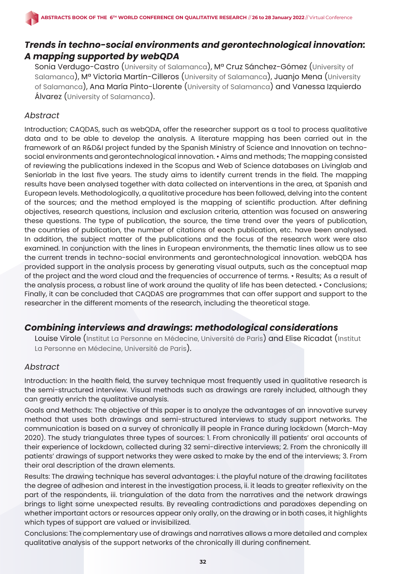# *Trends in techno-social environments and gerontechnological innovation: A mapping supported by webQDA*

Sonia Verdugo-Castro (University of Salamanca), Mª Cruz Sánchez-Gómez (University of Salamanca), Mª Victoria Martín-Cilleros (University of Salamanca), Juanjo Mena (University of Salamanca), Ana María Pinto-Llorente (University of Salamanca) and Vanessa Izquierdo Álvarez (University of Salamanca).

### *Abstract*

Introduction; CAQDAS, such as webQDA, offer the researcher support as a tool to process qualitative data and to be able to develop the analysis. A literature mapping has been carried out in the framework of an R&D&I project funded by the Spanish Ministry of Science and Innovation on technosocial environments and gerontechnological innovation. • Aims and methods; The mapping consisted of reviewing the publications indexed in the Scopus and Web of Science databases on Livinglab and Seniorlab in the last five years. The study aims to identify current trends in the field. The mapping results have been analysed together with data collected on interventions in the area, at Spanish and European levels. Methodologically, a qualitative procedure has been followed, delving into the content of the sources; and the method employed is the mapping of scientific production. After defining objectives, research questions, inclusion and exclusion criteria, attention was focused on answering these questions. The type of publication, the source, the time trend over the years of publication, the countries of publication, the number of citations of each publication, etc. have been analysed. In addition, the subject matter of the publications and the focus of the research work were also examined. In conjunction with the lines in European environments, the thematic lines allow us to see the current trends in techno-social environments and gerontechnological innovation. webQDA has provided support in the analysis process by generating visual outputs, such as the conceptual map of the project and the word cloud and the frequencies of occurrence of terms. • Results; As a result of the analysis process, a robust line of work around the quality of life has been detected. • Conclusions; Finally, it can be concluded that CAQDAS are programmes that can offer support and support to the researcher in the different moments of the research, including the theoretical stage.

# *Combining interviews and drawings: methodological considerations*

Louise Virole (Institut La Personne en Médecine, Université de Paris) and Elise Ricadat (Institut La Personne en Médecine, Université de Paris).

#### *Abstract*

Introduction: In the health field, the survey technique most frequently used in qualitative research is the semi-structured interview. Visual methods such as drawings are rarely included, although they can greatly enrich the qualitative analysis.

Goals and Methods: The objective of this paper is to analyze the advantages of an innovative survey method that uses both drawings and semi-structured interviews to study support networks. The communication is based on a survey of chronically ill people in France during lockdown (March-May 2020). The study triangulates three types of sources: 1. From chronically ill patients' oral accounts of their experience of lockdown, collected during 32 semi-directive interviews; 2. From the chronically ill patients' drawings of support networks they were asked to make by the end of the interviews; 3. From their oral description of the drawn elements.

Results: The drawing technique has several advantages: i. the playful nature of the drawing facilitates the degree of adhesion and interest in the investigation process, ii. it leads to greater reflexivity on the part of the respondents, iii. triangulation of the data from the narratives and the network drawings brings to light some unexpected results. By revealing contradictions and paradoxes depending on whether important actors or resources appear only orally, on the drawing or in both cases, it highlights which types of support are valued or invisibilized.

Conclusions: The complementary use of drawings and narratives allows a more detailed and complex qualitative analysis of the support networks of the chronically ill during confinement.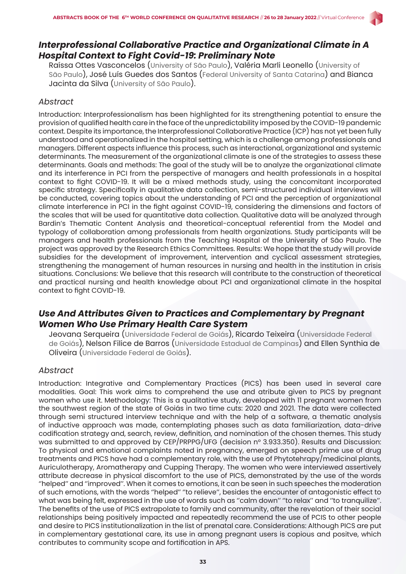# *Interprofessional Collaborative Practice and Organizational Climate in A Hospital Context to Fight Covid-19: Preliminary Note*

Raíssa Ottes Vasconcelos (University of São Paulo), Valéria Marli Leonello (University of São Paulo), José Luís Guedes dos Santos (Federal University of Santa Catarina) and Bianca Jacinta da Silva (University of São Paulo).

#### *Abstract*

Introduction: Interprofessionalism has been highlighted for its strengthening potential to ensure the provision of qualified health care in the face of the unpredictability imposed by the COVID-19 pandemic context. Despite its importance, the Interprofessional Collaborative Practice (ICP) has not yet been fully understood and operationalized in the hospital setting, which is a challenge among professionals and managers. Different aspects influence this process, such as interactional, organizational and systemic determinants. The measurement of the organizational climate is one of the strategies to assess these determinants. Goals and methods: The goal of the study will be to analyze the organizational climate and its interference in PCI from the perspective of managers and health professionals in a hospital context to fight COVID-19. It will be a mixed methods study, using the concomitant incorporated specific strategy. Specifically in qualitative data collection, semi-structured individual interviews will be conducted, covering topics about the understanding of PCI and the perception of organizational climate interference in PCI in the fight against COVID-19, considering the dimensions and factors of the scales that will be used for quantitative data collection. Qualitative data will be analyzed through Bardin's Thematic Content Analysis and theoretical-conceptual referential from the Model and typology of collaboration among professionals from health organizations. Study participants will be managers and health professionals from the Teaching Hospital of the University of São Paulo. The project was approved by the Research Ethics Committees. Results: We hope that the study will provide subsidies for the development of improvement, intervention and cyclical assessment strategies, strengthening the management of human resources in nursing and health in the institution in crisis situations. Conclusions: We believe that this research will contribute to the construction of theoretical and practical nursing and health knowledge about PCI and organizational climate in the hospital context to fight COVID-19.

# *Use And Attributes Given to Practices and Complementary by Pregnant Women Who Use Primary Health Care System*

Jeovana Serqueira (Universidade Federal de Goiás), Ricardo Teixeira (Universidade Federal de Goiás), Nelson Filice de Barros (Universidade Estadual de Campinas) and Ellen Synthia de Oliveira (Universidade Federal de Goiás).

#### *Abstract*

Introduction: Integrative and Complementary Practices (PICS) has been used in several care modalities. Goal: This work aims to comprehend the use and atribute given to PICS by pregnant women who use it. Methodology: This is a qualitative study, developed with 11 pregnant women from the southwest region of the state of Goiás in two time cuts: 2020 and 2021. The data were collected through semi structured interview technique and with the help of a software, a thematic analysis of inductive approach was made, contemplating phases such as data familiarization, data-drive codification strategy and, search, review, definition, and nomination of the chosen themes. This study was submitted to and approved by CEP/PRPPG/UFG (decision nº 3.933.350). Results and Discussion: To physical and emotional complaints noted in pregnancy, emerged on speech prime use of drug treatments and PICS have had a complementary role, with the use of Phytotehrapy/medicinal plants, Auriculotherapy, Aromatherapy and Cupping Therapy. The women who were interviewed assertively attribute decrease in physical discomfort to the use of PICS, demonstrated by the use of the words ''helped'' and ''improved''. When it comes to emotions, it can be seen in such speeches the moderation of such emotions, with the words ''helped'' ''to relieve'', besides the encounter of antagonistic effect to what was being felt, expressed in the use of words such as ''calm down'' ''to relax'' and ''to tranquilize''. The benefits of the use of PICS extrapolate to family and community, after the revelation of their social relationships being positively impacted and repeatedly recommend the use of PCIS to other people and desire to PICS institutionalization in the list of prenatal care. Considerations: Although PICS are put in complementary gestational care, its use in among pregnant users is copious and positve, which contributes to community scope and fortification in APS.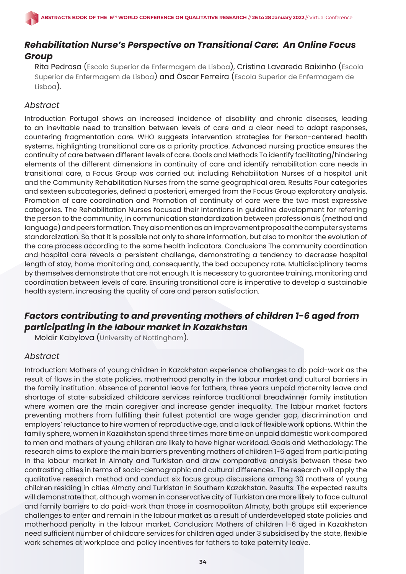# *Rehabilitation Nurse's Perspective on Transitional Care: An Online Focus Group*

Rita Pedrosa (Escola Superior de Enfermagem de Lisboa), Cristina Lavareda Baixinho (Escola Superior de Enfermagem de Lisboa) and Óscar Ferreira (Escola Superior de Enfermagem de Lisboa).

### *Abstract*

Introduction Portugal shows an increased incidence of disability and chronic diseases, leading to an inevitable need to transition between levels of care and a clear need to adapt responses, countering fragmentation care. WHO suggests intervention strategies for Person-centered health systems, highlighting transitional care as a priority practice. Advanced nursing practice ensures the continuity of care between different levels of care. Goals and Methods To identify facilitating/hindering elements of the different dimensions in continuity of care and identify rehabilitation care needs in transitional care, a Focus Group was carried out including Rehabilitation Nurses of a hospital unit and the Community Rehabilitation Nurses from the same geographical area. Results Four categories and sexteen subcategories, defined a posteriori, emerged from the Focus Group exploratory analysis. Promotion of care coordination and Promotion of continuity of care were the two most expressive categories. The Rehabilitation Nurses focused their intentions in guideline development for referring the person to the community, in communication standardization between professionals (method and language) and peers formation. They also mention as an improvement proposal the computer systems standardization. So that it is possible not only to share information, but also to monitor the evolution of the care process according to the same health indicators. Conclusions The community coordination and hospital care reveals a persistent challenge, demonstrating a tendency to decrease hospital length of stay, home monitoring and, consequently, the bed occupancy rate. Multidisciplinary teams by themselves demonstrate that are not enough. It is necessary to guarantee training, monitoring and coordination between levels of care. Ensuring transitional care is imperative to develop a sustainable health system, increasing the quality of care and person satisfaction.

# *Factors contributing to and preventing mothers of children 1-6 aged from participating in the labour market in Kazakhstan*

Moldir Kabylova (University of Nottingham).

# *Abstract*

Introduction: Mothers of young children in Kazakhstan experience challenges to do paid-work as the result of flaws in the state policies, motherhood penalty in the labour market and cultural barriers in the family institution. Absence of parental leave for fathers, three years unpaid maternity leave and shortage of state-subsidized childcare services reinforce traditional breadwinner family institution where women are the main caregiver and increase gender inequality. The labour market factors preventing mothers from fulfilling their fullest potential are wage gender gap, discrimination and employers' reluctance to hire women of reproductive age, and a lack of flexible work options. Within the family sphere, women in Kazakhstan spend three times more time on unpaid domestic work compared to men and mothers of young children are likely to have higher workload. Goals and Methodology: The research aims to explore the main barriers preventing mothers of children 1-6 aged from participating in the labour market in Almaty and Turkistan and draw comparative analysis between these two contrasting cities in terms of socio-demographic and cultural differences. The research will apply the qualitative research method and conduct six focus group discussions among 30 mothers of young children residing in cities Almaty and Turkistan in Southern Kazakhstan. Results: The expected results will demonstrate that, although women in conservative city of Turkistan are more likely to face cultural and family barriers to do paid-work than those in cosmopolitan Almaty, both groups still experience challenges to enter and remain in the labour market as a result of underdeveloped state policies and motherhood penalty in the labour market. Conclusion: Mothers of children 1-6 aged in Kazakhstan need sufficient number of childcare services for children aged under 3 subsidised by the state, flexible work schemes at workplace and policy incentives for fathers to take paternity leave.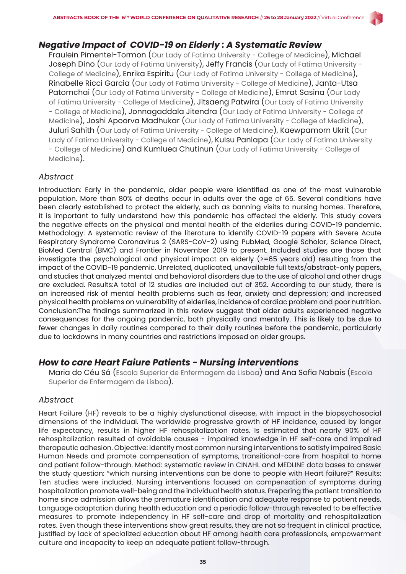# *Negative Impact of COVID-19 on Elderly : A Systematic Review*

Fraulein Pimentel-Tormon (Our Lady of Fatima University - College of Medicine), Michael Joseph Dino (Our Lady of Fatima University), Jeffy Francis (Our Lady of Fatima University -College of Medicine), Enrika Espiritu (Our Lady of Fatima University - College of Medicine), Rinabelle Ricci Garcia (Our Lady of Fatima University - College of Medicine), Janta-Utsa Patomchai (Our Lady of Fatima University - College of Medicine), Emrat Sasina (Our Lady of Fatima University - College of Medicine), Jitsaeng Patwira (Our Lady of Fatima University - College of Medicine), Jonnagaddala Jitendra (Our Lady of Fatima University - College of Medicine), Joshi Apoorva Madhukar (Our Lady of Fatima University - College of Medicine), Juluri Sahith (Our Lady of Fatima University - College of Medicine), Kaewpamorn Ukrit (Our Lady of Fatima University - College of Medicine), Kulsu Panlapa (Our Lady of Fatima University - College of Medicine) and Kumluea Chutinun (Our Lady of Fatima University - College of Medicine).

### *Abstract*

Introduction: Early in the pandemic, older people were identified as one of the most vulnerable population. More than 80% of deaths occur in adults over the age of 65. Several conditions have been clearly established to protect the elderly, such as banning visits to nursing homes. Therefore, it is important to fully understand how this pandemic has affected the elderly. This study covers the negative effects on the physical and mental health of the elderlies during COVID-19 pandemic. Methodology: A systematic review of the literature to identify COVID-19 papers with Severe Acute Respiratory Syndrome Coronavirus 2 (SARS-CoV-2) using PubMed, Google Scholar, Science Direct, BioMed Central (BMC) and Frontier in November 2019 to present. Included studies are those that investigate the psychological and physical impact on elderly  $(>= 65$  years old) resulting from the impact of the COVID-19 pandemic. Unrelated, duplicated, unavailable full texts/abstract-only papers, and studies that analyzed mental and behavioral disorders due to the use of alcohol and other drugs are excluded. Results:A total of 12 studies are included out of 352. According to our study, there is an increased risk of mental health problems such as fear, anxiety and depression; and increased physical health problems on vulnerability of elderlies, incidence of cardiac problem and poor nutrition. Conclusion:The findings summarized in this review suggest that older adults experienced negative consequences for the ongoing pandemic, both physically and mentally. This is likely to be due to fewer changes in daily routines compared to their daily routines before the pandemic, particularly due to lockdowns in many countries and restrictions imposed on older groups.

# *How to care Heart Faiure Patients - Nursing interventions*

Maria do Céu Sá (Escola Superior de Enfermagem de Lisboa) and Ana Sofia Nabais (Escola Superior de Enfermagem de Lisboa).

#### *Abstract*

Heart Failure (HF) reveals to be a highly dysfunctional disease, with impact in the biopsychosocial dimensions of the individual. The worldwide progressive growth of HF incidence, caused by longer life expectancy, results in higher HF rehospitalization rates. Is estimated that nearly 90% of HF rehospitalization resulted of avoidable causes - impaired knowledge in HF self-care and impaired therapeutic adhesion. Objective: identify most common nursing interventions to satisfy impaired Basic Human Needs and promote compensation of symptoms, transitional-care from hospital to home and patient follow-through. Method: systematic review in CINAHL and MEDLINE data bases to answer the study question: "which nursing interventions can be done to people with Heart failure?" Results: Ten studies were included. Nursing interventions focused on compensation of symptoms during hospitalization promote well-being and the individual health status. Preparing the patient transition to home since admission allows the premature identification and adequate response to patient needs. Language adaptation during health education and a periodic follow-through revealed to be effective measures to promote independency in HF self-care and drop of mortality and rehospitalization rates. Even though these interventions show great results, they are not so frequent in clinical practice, justified by lack of specialized education about HF among health care professionals, empowerment culture and incapacity to keep an adequate patient follow-through.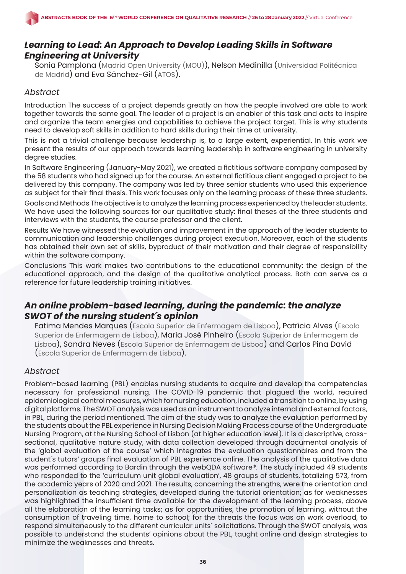# *Learning to Lead: An Approach to Develop Leading Skills in Software Engineering at University*

Sonia Pamplona (Madrid Open University (MOU)), Nelson Medinilla (Universidad Politécnica de Madrid) and Eva Sánchez-Gil (ATOS).

### *Abstract*

Introduction The success of a project depends greatly on how the people involved are able to work together towards the same goal. The leader of a project is an enabler of this task and acts to inspire and organize the team energies and capabilities to achieve the project target. This is why students need to develop soft skills in addition to hard skills during their time at university.

This is not a trivial challenge because leadership is, to a large extent, experiential. In this work we present the results of our approach towards learning leadership in software engineering in university degree studies.

In Software Engineering (January-May 2021), we created a fictitious software company composed by the 58 students who had signed up for the course. An external fictitious client engaged a project to be delivered by this company. The company was led by three senior students who used this experience as subject for their final thesis. This work focuses only on the learning process of these three students.

Goals and Methods The objective is to analyze the learning process experienced by the leader students. We have used the following sources for our qualitative study: final theses of the three students and interviews with the students, the course professor and the client.

Results We have witnessed the evolution and improvement in the approach of the leader students to communication and leadership challenges during project execution. Moreover, each of the students has obtained their own set of skills, byproduct of their motivation and their degree of responsibility within the software company.

Conclusions This work makes two contributions to the educational community: the design of the educational approach, and the design of the qualitative analytical process. Both can serve as a reference for future leadership training initiatives.

# *An online problem-based learning, during the pandemic: the analyze SWOT of the nursing student´s opinion*

Fatima Mendes Marques (Escola Superior de Enfermagem de Lisboa), Patrícia Alves (Escola Superior de Enfermagem de Lisboa), Maria José Pinheiro (Escola Superior de Enfermagem de Lisboa), Sandra Neves (Escola Superior de Enfermagem de Lisboa) and Carlos Pina David (Escola Superior de Enfermagem de Lisboa).

# *Abstract*

Problem-based learning (PBL) enables nursing students to acquire and develop the competencies necessary for professional nursing. The COVID-19 pandemic that plagued the world, required epidemiological control measures, which for nursing education, included a transition to online, by using digital platforms. The SWOT analysis was used as an instrument to analyze internal and external factors, in PBL, during the period mentioned. The aim of the study was to analyze the evaluation performed by the students about the PBL experience in Nursing Decision Making Process course of the Undergraduate Nursing Program, at the Nursing School of Lisbon (at higher education level). It is a descriptive, crosssectional, qualitative nature study, with data collection developed through documental analysis of the 'global evaluation of the course' which integrates the evaluation questionnaires and from the student´s tutors' groups final evaluation of PBL experience online. The analysis of the qualitative data was performed according to Bardin through the webQDA software®. The study included 49 students who responded to the 'curriculum unit global evaluation', 48 groups of students, totalizing 573, from the academic years of 2020 and 2021. The results, concerning the strengths, were the orientation and personalization as teaching strategies, developed during the tutorial orientation; as for weaknesses was highlighted the insufficient time available for the development of the learning process, above all the elaboration of the learning tasks; as for opportunities, the promotion of learning, without the consumption of traveling time, home to school; for the threats the focus was on work overload, to respond simultaneously to the different curricular units´ solicitations. Through the SWOT analysis, was possible to understand the students' opinions about the PBL, taught online and design strategies to minimize the weaknesses and threats.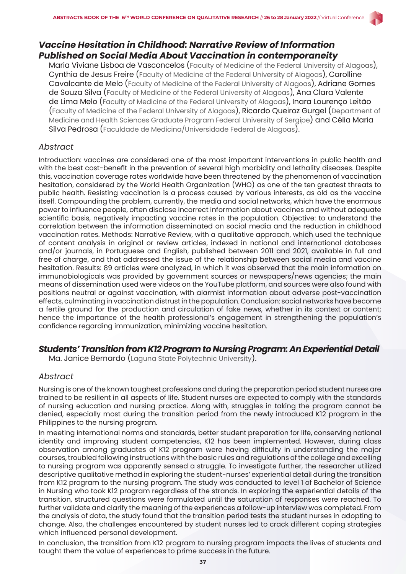# *Vaccine Hesitation in Childhood: Narrative Review of Information Published on Social Media About Vaccination in contemporaneity*

Maria Viviane Lisboa de Vasconcelos (Faculty of Medicine of the Federal University of Alagoas), Cynthia de Jesus Freire (Faculty of Medicine of the Federal University of Alagoas), Carolline Cavalcante de Melo (Faculty of Medicine of the Federal University of Alagoas), Adriane Gomes de Souza Silva (Faculty of Medicine of the Federal University of Alagoas), Ana Clara Valente de Lima Melo (Faculty of Medicine of the Federal University of Alagoas), Inara Lourenço Leitão (Faculty of Medicine of the Federal University of Alagoas), Ricardo Queiroz Gurgel (Department of Medicine and Health Sciences Graduate Program Federal University of Sergipe) and Célia Maria Silva Pedrosa (Faculdade de Medicina/Universidade Federal de Alagoas).

### *Abstract*

Introduction: vaccines are considered one of the most important interventions in public health and with the best cost-benefit in the prevention of several high morbidity and lethality diseases. Despite this, vaccination coverage rates worldwide have been threatened by the phenomenon of vaccination hesitation, considered by the World Health Organization (WHO) as one of the ten greatest threats to public health. Resisting vaccination is a process caused by various interests, as old as the vaccine itself. Compounding the problem, currently, the media and social networks, which have the enormous power to influence people, often disclose incorrect information about vaccines and without adequate scientific basis, negatively impacting vaccine rates in the population. Objective: to understand the correlation between the information disseminated on social media and the reduction in childhood vaccination rates. Methods: Narrative Review, with a qualitative approach, which used the technique of content analysis in original or review articles, indexed in national and international databases and/or journals, in Portuguese and English, published between 2011 and 2021, available in full and free of charge, and that addressed the issue of the relationship between social media and vaccine hesitation. Results: 89 articles were analyzed, in which it was observed that the main information on immunobiologicals was provided by government sources or newspapers/news agencies; the main means of dissemination used were videos on the YouTube platform, and sources were also found with positions neutral or against vaccination, with alarmist information about adverse post-vaccination effects, culminating in vaccination distrust in the population. Conclusion: social networks have become a fertile ground for the production and circulation of fake news, whether in its context or content; hence the importance of the health professional's engagement in strengthening the population's confidence regarding immunization, minimizing vaccine hesitation.

# *Students' Transition from K12 Program to Nursing Program: An Experiential Detail*

Ma. Janice Bernardo (Laguna State Polytechnic University).

#### *Abstract*

Nursing is one of the known toughest professions and during the preparation period student nurses are trained to be resilient in all aspects of life. Student nurses are expected to comply with the standards of nursing education and nursing practice. Along with, struggles in taking the program cannot be denied, especially most during the transition period from the newly introduced K12 program in the Philippines to the nursing program.

In meeting international norms and standards, better student preparation for life, conserving national identity and improving student competencies, K12 has been implemented. However, during class observation among graduates of K12 program were having difficulty in understanding the major courses, troubled following instructions with the basic rules and regulations of the college and excelling to nursing program was apparently sensed a struggle. To investigate further, the researcher utilized descriptive qualitative method in exploring the student-nurses' experiential detail during the transition from K12 program to the nursing program. The study was conducted to level 1 of Bachelor of Science in Nursing who took K12 program regardless of the strands. In exploring the experiential details of the transition, structured questions were formulated until the saturation of responses were reached. To further validate and clarify the meaning of the experiences a follow-up interview was completed. From the analysis of data, the study found that the transition period tests the student nurses in adopting to change. Also, the challenges encountered by student nurses led to crack different coping strategies which influenced personal development.

In conclusion, the transition from K12 program to nursing program impacts the lives of students and taught them the value of experiences to prime success in the future.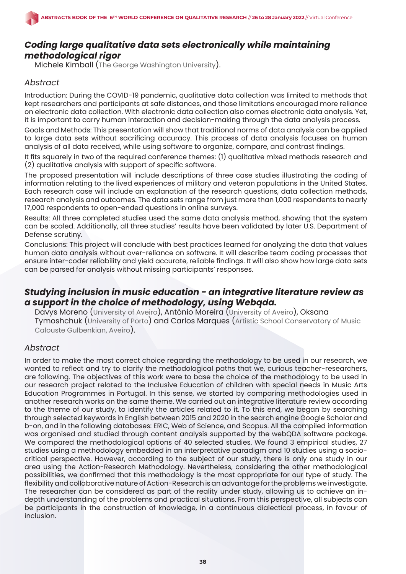# *Coding large qualitative data sets electronically while maintaining methodological rigor*

Michele Kimball (The George Washington University).

### *Abstract*

Introduction: During the COVID-19 pandemic, qualitative data collection was limited to methods that kept researchers and participants at safe distances, and those limitations encouraged more reliance on electronic data collection. With electronic data collection also comes electronic data analysis. Yet, it is important to carry human interaction and decision-making through the data analysis process.

Goals and Methods: This presentation will show that traditional norms of data analysis can be applied to large data sets without sacrificing accuracy. This process of data analysis focuses on human analysis of all data received, while using software to organize, compare, and contrast findings.

It fits squarely in two of the required conference themes: (1) qualitative mixed methods research and (2) qualitative analysis with support of specific software.

The proposed presentation will include descriptions of three case studies illustrating the coding of information relating to the lived experiences of military and veteran populations in the United States. Each research case will include an explanation of the research questions, data collection methods, research analysis and outcomes. The data sets range from just more than 1,000 respondents to nearly 17,000 respondents to open-ended questions in online surveys.

Results: All three completed studies used the same data analysis method, showing that the system can be scaled. Additionally, all three studies' results have been validated by later U.S. Department of Defense scrutiny.

Conclusions: This project will conclude with best practices learned for analyzing the data that values human data analysis without over-reliance on software. It will describe team coding processes that ensure inter-coder reliability and yield accurate, reliable findings. It will also show how large data sets can be parsed for analysis without missing participants' responses.

# *Studying inclusion in music education - an integrative literature review as a support in the choice of methodology, using Webqda.*

Davys Moreno (University of Aveiro), António Moreira (University of Aveiro), Oksana Tymoshchuk (University of Porto) and Carlos Marques (Artistic School Conservatory of Music Calouste Gulbenkian, Aveiro).

#### *Abstract*

In order to make the most correct choice regarding the methodology to be used in our research, we wanted to reflect and try to clarify the methodological paths that we, curious teacher-researchers, are following. The objectives of this work were to base the choice of the methodology to be used in our research project related to the Inclusive Education of children with special needs in Music Arts Education Programmes in Portugal. In this sense, we started by comparing methodologies used in another research works on the same theme. We carried out an integrative literature review according to the theme of our study, to identify the articles related to it. To this end, we began by searching through selected keywords in English between 2015 and 2020 in the search engine Google Scholar and b-on, and in the following databases: ERIC, Web of Science, and Scopus. All the compiled information was organised and studied through content analysis supported by the webQDA software package. We compared the methodological options of 40 selected studies. We found 3 empirical studies, 27 studies using a methodology embedded in an interpretative paradigm and 10 studies using a sociocritical perspective. However, according to the subject of our study, there is only one study in our area using the Action-Research Methodology. Nevertheless, considering the other methodological possibilities, we confirmed that this methodology is the most appropriate for our type of study. The flexibility and collaborative nature of Action-Research is an advantage for the problems we investigate. The researcher can be considered as part of the reality under study, allowing us to achieve an indepth understanding of the problems and practical situations. From this perspective, all subjects can be participants in the construction of knowledge, in a continuous dialectical process, in favour of inclusion.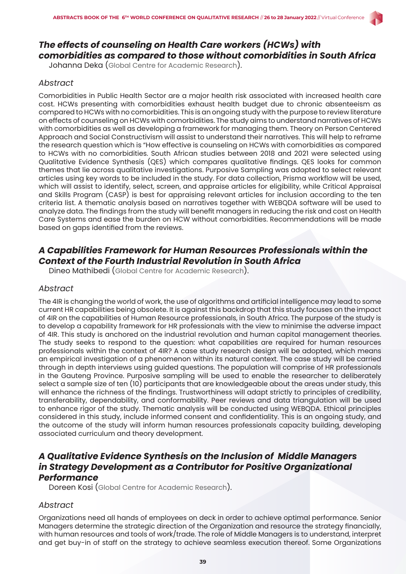# *The effects of counseling on Health Care workers (HCWs) with comorbidities as compared to those without comorbidities in South Africa*

Johanna Deka (Global Centre for Academic Research).

#### *Abstract*

Comorbidities in Public Health Sector are a major health risk associated with increased health care cost. HCWs presenting with comorbidities exhaust health budget due to chronic absenteeism as compared to HCWs with no comorbidities. This is an ongoing study with the purpose to review literature on effects of counseling on HCWs with comorbidities. The study aims to understand narratives of HCWs with comorbidities as well as developing a framework for managing them. Theory on Person Centered Approach and Social Constructivism will assist to understand their narratives. This will help to reframe the research question which is "How effective is counseling on HCWs with comorbidities as compared to HCWs with no comorbidities. South African studies between 2018 and 2021 were selected using Qualitative Evidence Synthesis (QES) which compares qualitative findings. QES looks for common themes that lie across qualitative investigations. Purposive Sampling was adopted to select relevant articles using key words to be included in the study. For data collection, Prisma workflow will be used, which will assist to identify, select, screen, and appraise articles for eligibility, while Critical Appraisal and Skills Program (CASP) is best for appraising relevant articles for inclusion according to the ten criteria list. A thematic analysis based on narratives together with WEBQDA software will be used to analyze data. The findings from the study will benefit managers in reducing the risk and cost on Health Care Systems and ease the burden on HCW without comorbidities. Recommendations will be made based on gaps identified from the reviews.

# *A Capabilities Framework for Human Resources Professionals within the Context of the Fourth Industrial Revolution in South Africa*

Dineo Mathibedi (Global Centre for Academic Research).

#### *Abstract*

The 4IR is changing the world of work, the use of algorithms and artificial intelligence may lead to some current HR capabilities being obsolete. It is against this backdrop that this study focuses on the impact of 4IR on the capabilities of Human Resource professionals, in South Africa. The purpose of the study is to develop a capability framework for HR professionals with the view to minimise the adverse impact of 4IR. This study is anchored on the industrial revolution and human capital management theories. The study seeks to respond to the question: what capabilities are required for human resources professionals within the context of 4IR? A case study research design will be adopted, which means an empirical investigation of a phenomenon within its natural context. The case study will be carried through in depth interviews using guided questions. The population will comprise of HR professionals in the Gauteng Province. Purposive sampling will be used to enable the researcher to deliberately select a sample size of ten (10) participants that are knowledgeable about the areas under study, this will enhance the richness of the findings. Trustworthiness will adapt strictly to principles of credibility, transferability, dependability, and conformability. Peer reviews and data triangulation will be used to enhance rigor of the study. Thematic analysis will be conducted using WEBQDA. Ethical principles considered in this study, include informed consent and confidentiality. This is an ongoing study, and the outcome of the study will inform human resources professionals capacity building, developing associated curriculum and theory development.

### *A Qualitative Evidence Synthesis on the Inclusion of Middle Managers in Strategy Development as a Contributor for Positive Organizational Performance*

Doreen Kosi (Global Centre for Academic Research).

#### *Abstract*

Organizations need all hands of employees on deck in order to achieve optimal performance. Senior Managers determine the strategic direction of the Organization and resource the strategy financially, with human resources and tools of work/trade. The role of Middle Managers is to understand, interpret and get buy-in of staff on the strategy to achieve seamless execution thereof. Some Organizations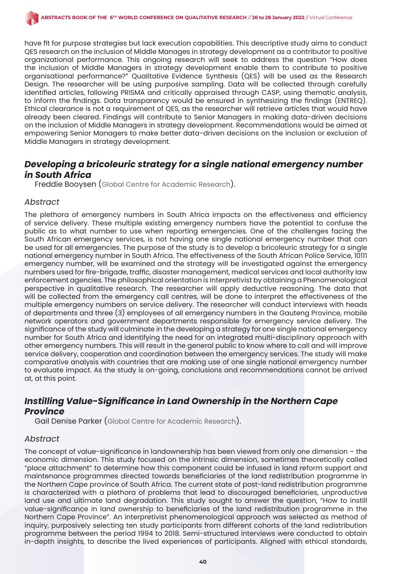have fit for purpose strategies but lack execution capabilities. This descriptive study aims to conduct QES research on the inclusion of Middle Manages in strategy development as a contributor to positive organizational performance. This ongoing research will seek to address the question "How does the inclusion of Middle Managers in strategy development enable them to contribute to positive organisational performance?" Qualitative Evidence Synthesis (QES) will be used as the Research Design. The researcher will be using purposive sampling. Data will be collected through carefully identified articles, following PRISMA and critically appraised through CASP, using thematic analysis, to inform the findings. Data transparency would be ensured in synthesizing the findings (ENTREQ). Ethical clearance is not a requirement of QES, as the researcher will retrieve articles that would have already been cleared. Findings will contribute to Senior Managers in making data-driven decisions on the inclusion of Middle Managers in strategy development. Recommendations would be aimed at empowering Senior Managers to make better data-driven decisions on the inclusion or exclusion of Middle Managers in strategy development.

# *Developing a bricoleuric strategy for a single national emergency number in South Africa*

Freddie Booysen (Global Centre for Academic Research).

#### *Abstract*

The plethora of emergency numbers in South Africa impacts on the effectiveness and efficiency of service delivery. These multiple existing emergency numbers have the potential to confuse the public as to what number to use when reporting emergencies. One of the challenges facing the South African emergency services, is not having one single national emergency number that can be used for all emergencies. The purpose of the study is to develop a bricoleuric strategy for a single national emergency number in South Africa. The effectiveness of the South African Police Service, 10111 emergency number, will be examined and the strategy will be investigated against the emergency numbers used for fire-brigade, traffic, disaster management, medical services and local authority law enforcement agencies. The philosophical orientation is Interpretivist by obtaining a Phenomenological perspective in qualitative research. The researcher will apply deductive reasoning. The data that will be collected from the emergency call centres, will be done to interpret the effectiveness of the multiple emergency numbers on service delivery. The researcher will conduct interviews with heads of departments and three (3) employees of all emergency numbers in the Gauteng Province, mobile network operators and government departments responsible for emergency service delivery. The significance of the study will culminate in the developing a strategy for one single national emergency number for South Africa and identifying the need for an integrated multi-disciplinary approach with other emergency numbers. This will result in the general public to know where to call and will improve service delivery, cooperation and coordination between the emergency services. The study will make comparative analysis with countries that are making use of one single national emergency number to evaluate impact. As the study is on-going, conclusions and recommendations cannot be arrived at, at this point.

# *Instilling Value-Significance in Land Ownership in the Northern Cape Province*

Gail Denise Parker (Global Centre for Academic Research).

#### *Abstract*

The concept of value-significance in landownership has been viewed from only one dimension  $-$  the economic dimension. This study focused on the intrinsic dimension, sometimes theoretically called "place attachment" to determine how this component could be infused in land reform support and maintenance programmes directed towards beneficiaries of the land redistribution programme in the Northern Cape province of South Africa. The current state of post-land redistribution programme is characterized with a plethora of problems that lead to discouraged beneficiaries, unproductive land use and ultimate land degradation. This study sought to answer the question, "How to instill value-significance in land ownership to beneficiaries of the land redistribution programme in the Northern Cape Province". An interpretivist phenomenological approach was selected as method of inquiry, purposively selecting ten study participants from different cohorts of the land redistribution programme between the period 1994 to 2018. Semi-structured interviews were conducted to obtain in-depth insights, to describe the lived experiences of participants. Aligned with ethical standards,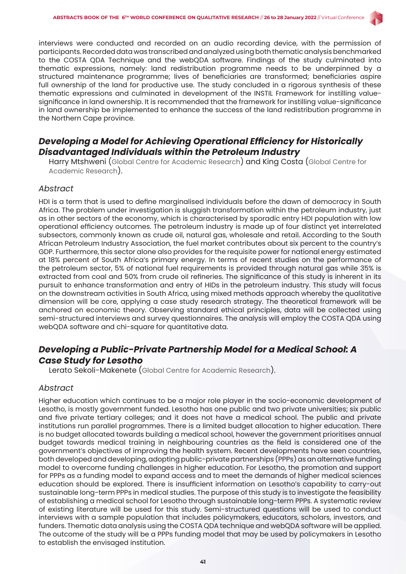

interviews were conducted and recorded on an audio recording device, with the permission of participants. Recorded data was transcribed and analyzed using both thematic analysis benchmarked to the COSTA QDA Technique and the webQDA software. Findings of the study culminated into thematic expressions, namely: land redistribution programme needs to be underpinned by a structured maintenance programme; lives of beneficiaries are transformed; beneficiaries aspire full ownership of the land for productive use. The study concluded in a rigorous synthesis of these thematic expressions and culminated in development of the INSTIL Framework for instilling valuesignificance in land ownership. It is recommended that the framework for instilling value-significance in land ownership be implemented to enhance the success of the land redistribution programme in the Northern Cape province.

# *Developing a Model for Achieving Operational Efficiency for Historically Disadvantaged Individuals within the Petroleum Industry*

Harry Mtshweni (Global Centre for Academic Research) and King Costa (Global Centre for Academic Research).

#### *Abstract*

HDI is a term that is used to define marginalised individuals before the dawn of democracy in South Africa. The problem under investigation is sluggish transformation within the petroleum industry, just as in other sectors of the economy, which is characterised by sporadic entry HDI population with low operational efficiency outcomes. The petroleum industry is made up of four distinct yet interrelated subsectors, commonly known as crude oil, natural gas, wholesale and retail. According to the South African Petroleum Industry Association, the fuel market contributes about six percent to the country's GDP. Furthermore, this sector alone also provides for the requisite power for national energy estimated at 18% percent of South Africa's primary energy. In terms of recent studies on the performance of the petroleum sector, 5% of national fuel requirements is provided through natural gas while 35% is extracted from coal and 50% from crude oil refineries. The significance of this study is inherent in its pursuit to enhance transformation and entry of HIDs in the petroleum industry. This study will focus on the downstream activities in South Africa, using mixed methods approach whereby the qualitative dimension will be core, applying a case study research strategy. The theoretical framework will be anchored on economic theory. Observing standard ethical principles, data will be collected using semi-structured interviews and survey questionnaires. The analysis will employ the COSTA QDA using webQDA software and chi-square for quantitative data.

# *Developing a Public-Private Partnership Model for a Medical School: A Case Study for Lesotho*

Lerato Sekoli-Makenete (Global Centre for Academic Research).

#### *Abstract*

Higher education which continues to be a major role player in the socio-economic development of Lesotho, is mostly government funded. Lesotho has one public and two private universities; six public and five private tertiary colleges; and it does not have a medical school. The public and private institutions run parallel programmes. There is a limited budget allocation to higher education. There is no budget allocated towards building a medical school, however the government prioritises annual budget towards medical training in neighbouring countries as the field is considered one of the government's objectives of improving the health system. Recent developments have seen countries, both developed and developing, adopting public-private partnerships (PPPs) as an alternative funding model to overcome funding challenges in higher education. For Lesotho, the promotion and support for PPPs as a funding model to expand access and to meet the demands of higher medical sciences education should be explored. There is insufficient information on Lesotho's capability to carry-out sustainable long-term PPPs in medical studies. The purpose of this study is to investigate the feasibility of establishing a medical school for Lesotho through sustainable long-term PPPs. A systematic review of existing literature will be used for this study. Semi-structured questions will be used to conduct interviews with a sample population that includes policymakers, educators, scholars, investors, and funders. Thematic data analysis using the COSTA QDA technique and webQDA software will be applied. The outcome of the study will be a PPPs funding model that may be used by policymakers in Lesotho to establish the envisaged institution.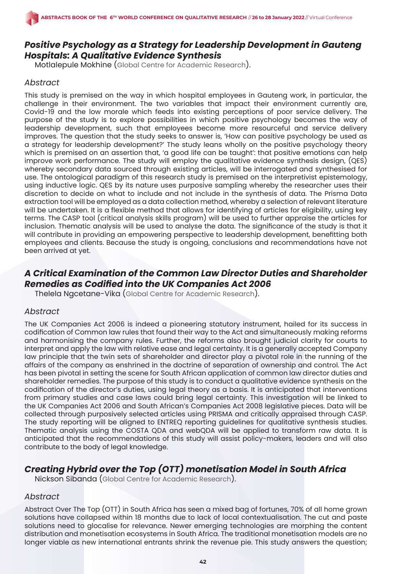# *Positive Psychology as a Strategy for Leadership Development in Gauteng Hospitals: A Qualitative Evidence Synthesis*

Motlalepule Mokhine (Global Centre for Academic Research).

### *Abstract*

This study is premised on the way in which hospital employees in Gauteng work, in particular, the challenge in their environment. The two variables that impact their environment currently are, Covid-19 and the low morale which feeds into existing perceptions of poor service delivery. The purpose of the study is to explore possibilities in which positive psychology becomes the way of leadership development, such that employees become more resourceful and service delivery improves. The question that the study seeks to answer is, 'How can positive psychology be used as a strategy for leadership development?' The study leans wholly on the positive psychology theory which is premised on an assertion that, 'a good life can be taught': that positive emotions can help improve work performance. The study will employ the qualitative evidence synthesis design, (QES) whereby secondary data sourced through existing articles, will be interrogated and synthesised for use. The ontological paradigm of this research study is premised on the interpretivist epistemology, using inductive logic. QES by its nature uses purposive sampling whereby the researcher uses their discretion to decide on what to include and not include in the synthesis of data. The Prisma Data extraction tool will be employed as a data collection method, whereby a selection of relevant literature will be undertaken. It is a flexible method that allows for identifying of articles for eligibility, using key terms. The CASP tool (critical analysis skills program) will be used to further appraise the articles for inclusion. Thematic analysis will be used to analyse the data. The significance of the study is that it will contribute in providing an empowering perspective to leadership development, benefitting both employees and clients. Because the study is ongoing, conclusions and recommendations have not been arrived at yet.

# *A Critical Examination of the Common Law Director Duties and Shareholder Remedies as Codified into the UK Companies Act 2006*

Thelela Ngcetane-Vika (Global Centre for Academic Research).

#### *Abstract*

The UK Companies Act 2006 is indeed a pioneering statutory instrument, hailed for its success in codification of Common law rules that found their way to the Act and simultaneously making reforms and harmonising the company rules. Further, the reforms also brought judicial clarity for courts to interpret and apply the law with relative ease and legal certainty. It is a generally accepted Company law principle that the twin sets of shareholder and director play a pivotal role in the running of the affairs of the company as enshrined in the doctrine of separation of ownership and control. The Act has been pivotal in setting the scene for South African application of common law director duties and shareholder remedies. The purpose of this study is to conduct a qualitative evidence synthesis on the codification of the director's duties, using legal theory as a basis. It is anticipated that interventions from primary studies and case laws could bring legal certainty. This investigation will be linked to the UK Companies Act 2006 and South African's Companies Act 2008 legislative pieces. Data will be collected through purposively selected articles using PRISMA and critically appraised through CASP. The study reporting will be aligned to ENTREQ reporting guidelines for qualitative synthesis studies. Thematic analysis using the COSTA QDA and webQDA will be applied to transform raw data. It is anticipated that the recommendations of this study will assist policy-makers, leaders and will also contribute to the body of legal knowledge.

# *Creating Hybrid over the Top (OTT) monetisation Model in South Africa*

Nickson Sibanda (Global Centre for Academic Research).

#### *Abstract*

Abstract Over The Top (OTT) in South Africa has seen a mixed bag of fortunes, 70% of all home grown solutions have collapsed within 18 months due to lack of local contextualisation. The cut and paste solutions need to glocalise for relevance. Newer emerging technologies are morphing the content distribution and monetisation ecosystems in South Africa. The traditional monetisation models are no longer viable as new international entrants shrink the revenue pie. This study answers the question;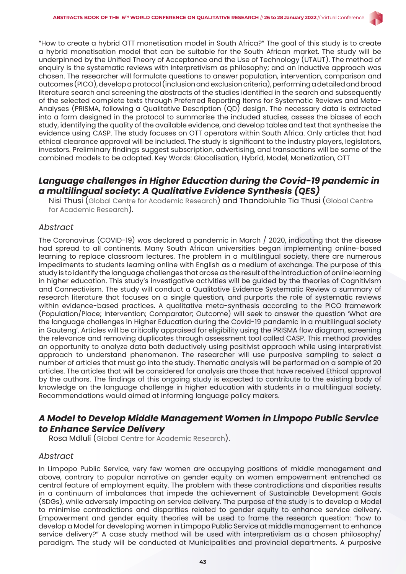

"How to create a hybrid OTT monetisation model in South Africa?" The goal of this study is to create a hybrid monetisation model that can be suitable for the South African market. The study will be underpinned by the Unified Theory of Acceptance and the Use of Technology (UTAUT). The method of enquiry is the systematic reviews with Interpretivism as philosophy; and an inductive approach was chosen. The researcher will formulate questions to answer population, intervention, comparison and outcomes (PICO), develop a protocol (inclusion and exclusion criteria), performing a detailed and broad literature search and screening the abstracts of the studies identified in the search and subsequently of the selected complete texts through Preferred Reporting Items for Systematic Reviews and Meta-Analyses (PRISMA, following a Qualitative Description (QD) design. The necessary data is extracted into a form designed in the protocol to summarise the included studies, assess the biases of each study, identifying the quality of the available evidence, and develop tables and text that synthesise the evidence using CASP. The study focuses on OTT operators within South Africa. Only articles that had ethical clearance approval will be included. The study is significant to the industry players, legislators, investors. Preliminary findings suggest subscription, advertising, and transactions will be some of the combined models to be adopted. Key Words: Glocalisation, Hybrid, Model, Monetization, OTT

# *Language challenges in Higher Education during the Covid-19 pandemic in a multilingual society: A Qualitative Evidence Synthesis (QES)*

Nisi Thusi (Global Centre for Academic Research) and Thandoluhle Tia Thusi (Global Centre for Academic Research).

#### *Abstract*

The Coronavirus (COVID-19) was declared a pandemic in March / 2020, indicating that the disease had spread to all continents. Many South African universities began implementing online-based learning to replace classroom lectures. The problem in a multilingual society, there are numerous impediments to students learning online with English as a medium of exchange. The purpose of this study is to identify the language challenges that arose as the result of the introduction of online learning in higher education. This study's investigative activities will be guided by the theories of Cognitivism and Connectivism. The study will conduct a Qualitative Evidence Systematic Review a summary of research literature that focuses on a single question, and purports the role of systematic reviews within evidence-based practices. A qualitative meta-synthesis according to the PICO framework (Population/Place; Intervention; Comparator; Outcome) will seek to answer the question 'What are the language challenges in Higher Education during the Covid-19 pandemic in a multilingual society in Gauteng'. Articles will be critically appraised for eligibility using the PRISMA flow diagram, screening the relevance and removing duplicates through assessment tool called CASP. This method provides an opportunity to analyze data both deductively using positivist approach while using interpretivist approach to understand phenomenon. The researcher will use purposive sampling to select a number of articles that must go into the study. Thematic analysis will be performed on a sample of 20 articles. The articles that will be considered for analysis are those that have received Ethical approval by the authors. The findings of this ongoing study is expected to contribute to the existing body of knowledge on the language challenge in higher education with students in a multilingual society. Recommendations would aimed at informing language policy makers.

### *A Model to Develop Middle Management Women in Limpopo Public Service to Enhance Service Delivery*

Rosa Mdluli (Global Centre for Academic Research).

#### *Abstract*

In Limpopo Public Service, very few women are occupying positions of middle management and above, contrary to popular narrative on gender equity on women empowerment entrenched as central feature of employment equity. The problem with these contradictions and disparities results in a continuum of imbalances that impede the achievement of Sustainable Development Goals (SDGs), while adversely impacting on service delivery. The purpose of the study is to develop a Model to minimise contradictions and disparities related to gender equity to enhance service delivery. Empowerment and gender equity theories will be used to frame the research question: "how to develop a Model for developing women in Limpopo Public Service at middle management to enhance service delivery?" A case study method will be used with interpretivism as a chosen philosophy paradigm. The study will be conducted at Municipalities and provincial departments. A purposive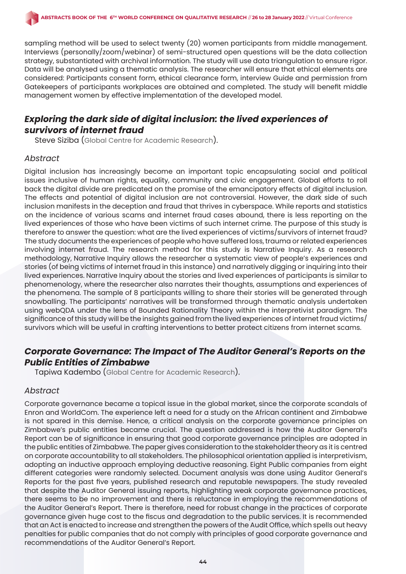sampling method will be used to select twenty (20) women participants from middle management. Interviews (personally/zoom/webinar) of semi-structured open questions will be the data collection strategy, substantiated with archival information. The study will use data triangulation to ensure rigor. Data will be analysed using a thematic analysis. The researcher will ensure that ethical elements are considered: Participants consent form, ethical clearance form, interview Guide and permission from Gatekeepers of participants workplaces are obtained and completed. The study will benefit middle management women by effective implementation of the developed model.

# *Exploring the dark side of digital inclusion: the lived experiences of survivors of internet fraud*

Steve Siziba (Global Centre for Academic Research).

#### *Abstract*

Digital inclusion has increasingly become an important topic encapsulating social and political issues inclusive of human rights, equality, community and civic engagement. Global efforts to roll back the digital divide are predicated on the promise of the emancipatory effects of digital inclusion. The effects and potential of digital inclusion are not controversial. However, the dark side of such inclusion manifests in the deception and fraud that thrives in cyberspace. While reports and statistics on the incidence of various scams and internet fraud cases abound, there is less reporting on the lived experiences of those who have been victims of such internet crime. The purpose of this study is therefore to answer the question: what are the lived experiences of victims/survivors of internet fraud? The study documents the experiences of people who have suffered loss, trauma or related experiences involving internet fraud. The research method for this study is Narrative Inquiry. As a research methodology, Narrative Inquiry allows the researcher a systematic view of people's experiences and stories (of being victims of internet fraud in this instance) and narratively digging or inquiring into their lived experiences. Narrative Inquiry about the stories and lived experiences of participants is similar to phenomenology, where the researcher also narrates their thoughts, assumptions and experiences of the phenomena. The sample of 8 participants willing to share their stories will be generated through snowballing. The participants' narratives will be transformed through thematic analysis undertaken using webQDA under the lens of Bounded Rationality Theory within the interpretivist paradigm. The significance of this study will be the insights gained from the lived experiences of internet fraud victims/ survivors which will be useful in crafting interventions to better protect citizens from internet scams.

# *Corporate Governance: The Impact of The Auditor General's Reports on the Public Entities of Zimbabwe*

Tapiwa Kadembo (Global Centre for Academic Research).

#### *Abstract*

Corporate governance became a topical issue in the global market, since the corporate scandals of Enron and WorldCom. The experience left a need for a study on the African continent and Zimbabwe is not spared in this demise. Hence, a critical analysis on the corporate governance principles on Zimbabwe's public entities became crucial. The question addressed is how the Auditor General's Report can be of significance in ensuring that good corporate governance principles are adopted in the public entities of Zimbabwe. The paper gives consideration to the stakeholder theory as it is centred on corporate accountability to all stakeholders. The philosophical orientation applied is interpretivism, adopting an inductive approach employing deductive reasoning. Eight Public companies from eight different categories were randomly selected. Document analysis was done using Auditor General's Reports for the past five years, published research and reputable newspapers. The study revealed that despite the Auditor General issuing reports, highlighting weak corporate governance practices, there seems to be no improvement and there is reluctance in employing the recommendations of the Auditor General's Report. There is therefore, need for robust change in the practices of corporate governance given huge cost to the fiscus and degradation to the public services. It is recommended that an Act is enacted to increase and strengthen the powers of the Audit Office, which spells out heavy penalties for public companies that do not comply with principles of good corporate governance and recommendations of the Auditor General's Report.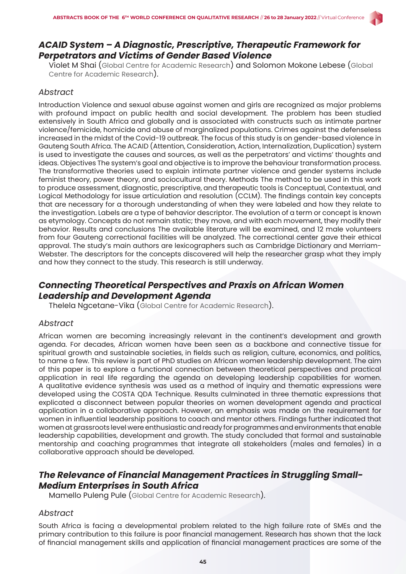

# *ACAID System – A Diagnostic, Prescriptive, Therapeutic Framework for Perpetrators and Victims of Gender Based Violence*

Violet M Shai (Global Centre for Academic Research) and Solomon Mokone Lebese (Global Centre for Academic Research).

#### *Abstract*

Introduction Violence and sexual abuse against women and girls are recognized as major problems with profound impact on public health and social development. The problem has been studied extensively in South Africa and globally and is associated with constructs such as intimate partner violence/femicide, homicide and abuse of marginalized populations. Crimes against the defenseless increased in the midst of the Covid-19 outbreak. The focus of this study is on gender-based violence in Gauteng South Africa. The ACAID (Attention, Consideration, Action, Internalization, Duplication) system is used to investigate the causes and sources, as well as the perpetrators' and victims' thoughts and ideas. Objectives The system's goal and objective is to improve the behaviour transformation process. The transformative theories used to explain intimate partner violence and gender systems include feminist theory, power theory, and sociocultural theory. Methods The method to be used in this work to produce assessment, diagnostic, prescriptive, and therapeutic tools is Conceptual, Contextual, and Logical Methodology for issue articulation and resolution (CCLM). The findings contain key concepts that are necessary for a thorough understanding of when they were labeled and how they relate to the investigation. Labels are a type of behavior descriptor. The evolution of a term or concept is known as etymology. Concepts do not remain static; they move, and with each movement, they modify their behavior. Results and conclusions The available literature will be examined, and 12 male volunteers from four Gauteng correctional facilities will be analyzed. The correctional center gave their ethical approval. The study's main authors are lexicographers such as Cambridge Dictionary and Merriam-Webster. The descriptors for the concepts discovered will help the researcher grasp what they imply and how they connect to the study. This research is still underway.

# *Connecting Theoretical Perspectives and Praxis on African Women Leadership and Development Agenda*

Thelela Ngcetane-Vika (Global Centre for Academic Research).

#### *Abstract*

African women are becoming increasingly relevant in the continent's development and growth agenda. For decades, African women have been seen as a backbone and connective tissue for spiritual growth and sustainable societies, in fields such as religion, culture, economics, and politics, to name a few. This review is part of PhD studies on African women leadership development. The aim of this paper is to explore a functional connection between theoretical perspectives and practical application in real life regarding the agenda on developing leadership capabilities for women. A qualitative evidence synthesis was used as a method of inquiry and thematic expressions were developed using the COSTA QDA Technique. Results culminated in three thematic expressions that explicated a disconnect between popular theories on women development agenda and practical application in a collaborative approach. However, an emphasis was made on the requirement for women in influential leadership positions to coach and mentor others. Findings further indicated that women at grassroots level were enthusiastic and ready for programmes and environments that enable leadership capabilities, development and growth. The study concluded that formal and sustainable mentorship and coaching programmes that integrate all stakeholders (males and females) in a collaborative approach should be developed.

# *The Relevance of Financial Management Practices in Struggling Small-Medium Enterprises in South Africa*

Mamello Puleng Pule (Global Centre for Academic Research).

#### *Abstract*

South Africa is facing a developmental problem related to the high failure rate of SMEs and the primary contribution to this failure is poor financial management. Research has shown that the lack of financial management skills and application of financial management practices are some of the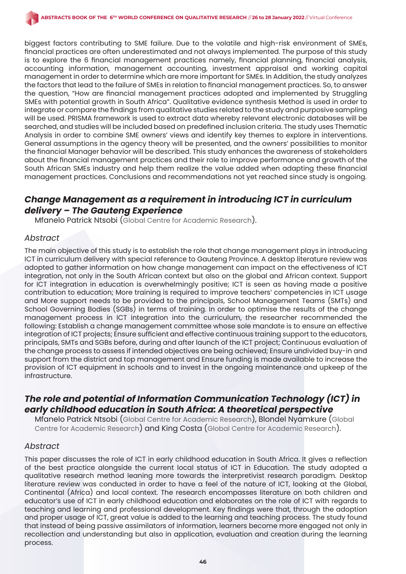biggest factors contributing to SME failure. Due to the volatile and high-risk environment of SMEs, financial practices are often underestimated and not always implemented. The purpose of this study is to explore the 6 financial management practices namely, financial planning, financial analysis, accounting information, management accounting, investment appraisal and working capital management in order to determine which are more important for SMEs. In Addition, the study analyzes the factors that lead to the failure of SMEs in relation to financial management practices. So, to answer the question, "How are financial management practices adopted and implemented by Struggling SMEs with potential growth in South Africa". Qualitative evidence synthesis Method is used in order to integrate or compare the findings from qualitative studies related to the study and purposive sampling will be used. PRISMA framework is used to extract data whereby relevant electronic databases will be searched, and studies will be included based on predefined inclusion criteria. The study uses Thematic Analysis in order to combine SME owners' views and identify key themes to explore in interventions. General assumptions in the agency theory will be presented, and the owners' possibilities to monitor the financial Manager behavior will be described. This study enhances the awareness of stakeholders about the financial management practices and their role to improve performance and growth of the South African SMEs industry and help them realize the value added when adapting these financial management practices. Conclusions and recommendations not yet reached since study is ongoing.

# *Change Management as a requirement in introducing ICT in curriculum delivery – The Gauteng Experience*

Mfanelo Patrick Ntsobi (Global Centre for Academic Research).

#### *Abstract*

The main objective of this study is to establish the role that change management plays in introducing ICT in curriculum delivery with special reference to Gauteng Province. A desktop literature review was adopted to gather information on how change management can impact on the effectiveness of ICT integration, not only in the South African context but also on the global and African context. Support for ICT integration in education is overwhelmingly positive; ICT is seen as having made a positive contribution to education; More training is required to improve teachers' competencies in ICT usage and More support needs to be provided to the principals, School Management Teams (SMTs) and School Governing Bodies (SGBs) in terms of training. In order to optimise the results of the change management process in ICT integration into the curriculum, the researcher recommended the following: Establish a change management committee whose sole mandate is to ensure an effective integration of ICT projects; Ensure sufficient and effective continuous training support to the educators, principals, SMTs and SGBs before, during and after launch of the ICT project; Continuous evaluation of the change process to assess if intended objectives are being achieved; Ensure undivided buy-in and support from the district and top management and Ensure funding is made available to increase the provision of ICT equipment in schools and to invest in the ongoing maintenance and upkeep of the infrastructure.

# *The role and potential of Information Communication Technology (ICT) in early childhood education in South Africa: A theoretical perspective*

Mfanelo Patrick Ntsobi (Global Centre for Academic Research), Blondel Nyamkure (Global Centre for Academic Research) and King Costa (Global Centre for Academic Research).

#### *Abstract*

This paper discusses the role of ICT in early childhood education in South Africa. It gives a reflection of the best practice alongside the current local status of ICT in Education. The study adopted a qualitative research method leaning more towards the interpretivist research paradigm. Desktop literature review was conducted in order to have a feel of the nature of ICT, looking at the Global, Continental (Africa) and local context. The research encompasses literature on both children and educator's use of ICT in early childhood education and elaborates on the role of ICT with regards to teaching and learning and professional development. Key findings were that, through the adoption and proper usage of ICT, great value is added to the learning and teaching process. The study found that instead of being passive assimilators of information, learners become more engaged not only in recollection and understanding but also in application, evaluation and creation during the learning process.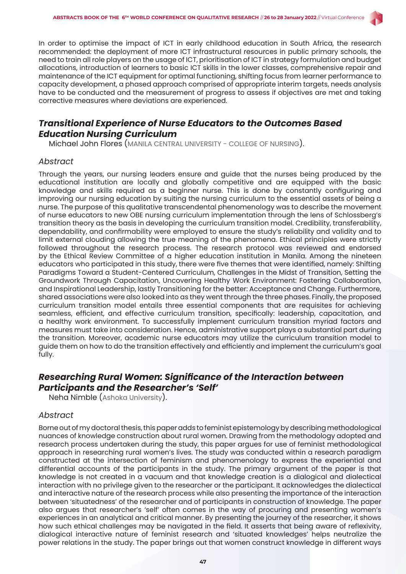

In order to optimise the impact of ICT in early childhood education in South Africa, the research recommended: the deployment of more ICT infrastructural resources in public primary schools, the need to train all role players on the usage of ICT, prioritisation of ICT in strategy formulation and budget allocations, introduction of learners to basic ICT skills in the lower classes, comprehensive repair and maintenance of the ICT equipment for optimal functioning, shifting focus from learner performance to capacity development, a phased approach comprised of appropriate interim targets, needs analysis have to be conducted and the measurement of progress to assess if objectives are met and taking corrective measures where deviations are experienced.

### *Transitional Experience of Nurse Educators to the Outcomes Based Education Nursing Curriculum*

Michael John Flores (MANILA CENTRAL UNIVERSITY - COLLEGE OF NURSING).

#### *Abstract*

Through the years, our nursing leaders ensure and guide that the nurses being produced by the educational institution are locally and globally competitive and are equipped with the basic knowledge and skills required as a beginner nurse. This is done by constantly configuring and improving our nursing education by suiting the nursing curriculum to the essential assets of being a nurse. The purpose of this qualitative transcendental phenomenology was to describe the movement of nurse educators to new OBE nursing curriculum implementation through the lens of Schlossberg's transition theory as the basis in developing the curriculum transition model. Credibility, transferability, dependability, and confirmability were employed to ensure the study's reliability and validity and to limit external clouding allowing the true meaning of the phenomena. Ethical principles were strictly followed throughout the research process. The research protocol was reviewed and endorsed by the Ethical Review Committee of a higher education institution in Manila. Among the nineteen educators who participated in this study, there were five themes that were identified, namely: Shifting Paradigms Toward a Student-Centered Curriculum, Challenges in the Midst of Transition, Setting the Groundwork Through Capacitation, Uncovering Healthy Work Environment: Fostering Collaboration, and Inspirational Leadership, lastly Transitioning for the better: Acceptance and Change. Furthermore, shared associations were also looked into as they went through the three phases. Finally, the proposed curriculum transition model entails three essential components that are requisites for achieving seamless, efficient, and effective curriculum transition, specifically: leadership, capacitation, and a healthy work environment. To successfully implement curriculum transition myriad factors and measures must take into consideration. Hence, administrative support plays a substantial part during the transition. Moreover, academic nurse educators may utilize the curriculum transition model to guide them on how to do the transition effectively and efficiently and implement the curriculum's goal fully.

# *Researching Rural Women: Significance of the Interaction between Participants and the Researcher's 'Self'*

Neha Nimble (Ashoka University).

#### *Abstract*

Borne out of my doctoral thesis, this paper adds to feminist epistemology by describing methodological nuances of knowledge construction about rural women. Drawing from the methodology adopted and research process undertaken during the study, this paper argues for use of feminist methodological approach in researching rural women's lives. The study was conducted within a research paradigm constructed at the intersection of feminism and phenomenology to express the experiential and differential accounts of the participants in the study. The primary argument of the paper is that knowledge is not created in a vacuum and that knowledge creation is a dialogical and dialectical interaction with no privilege given to the researcher or the participant. It acknowledges the dialectical and interactive nature of the research process while also presenting the importance of the interaction between 'situatedness' of the researcher and of participants in construction of knowledge. The paper also argues that researcher's 'self' often comes in the way of procuring and presenting women's experiences in an analytical and critical manner. By presenting the journey of the researcher, it shows how such ethical challenges may be navigated in the field. It asserts that being aware of reflexivity, dialogical interactive nature of feminist research and 'situated knowledges' helps neutralize the power relations in the study. The paper brings out that women construct knowledge in different ways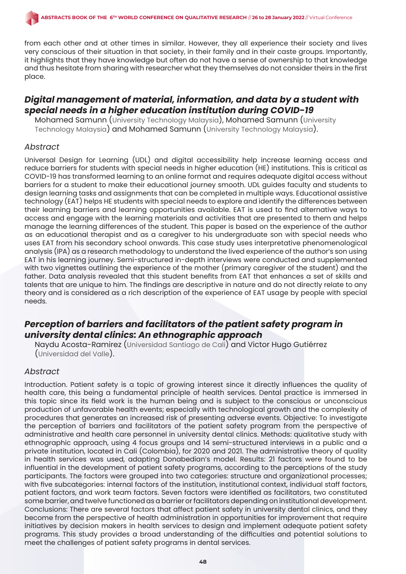from each other and at other times in similar. However, they all experience their society and lives very conscious of their situation in that society, in their family and in their caste groups. Importantly, it highlights that they have knowledge but often do not have a sense of ownership to that knowledge and thus hesitate from sharing with researcher what they themselves do not consider theirs in the first place.

# *Digital management of material, information, and data by a student with special needs in a higher education institution during COVID-19*

Mohamed Samunn (University Technology Malaysia), Mohamed Samunn (University Technology Malaysia) and Mohamed Samunn (University Technology Malaysia).

#### *Abstract*

Universal Design for Learning (UDL) and digital accessibility help increase learning access and reduce barriers for students with special needs in higher education (HE) institutions. This is critical as COVID-19 has transformed learning to an online format and requires adequate digital access without barriers for a student to make their educational journey smooth. UDL guides faculty and students to design learning tasks and assignments that can be completed in multiple ways. Educational assistive technology (EAT) helps HE students with special needs to explore and identify the differences between their learning barriers and learning opportunities available. EAT is used to find alternative ways to access and engage with the learning materials and activities that are presented to them and helps manage the learning differences of the student. This paper is based on the experience of the author as an educational therapist and as a caregiver to his undergraduate son with special needs who uses EAT from his secondary school onwards. This case study uses interpretative phenomenological analysis (IPA) as a research methodology to understand the lived experience of the author's son using EAT in his learning journey. Semi-structured in-depth interviews were conducted and supplemented with two vignettes outlining the experience of the mother (primary caregiver of the student) and the father. Data analysis revealed that this student benefits from EAT that enhances a set of skills and talents that are unique to him. The findings are descriptive in nature and do not directly relate to any theory and is considered as a rich description of the experience of EAT usage by people with special needs.

# *Perception of barriers and facilitators of the patient safety program in university dental clinics: An ethnographic approach*

Naydu Acosta-Ramirez (Universidad Santiago de Cali) and Victor Hugo Gutiérrez (Universidad del Valle).

#### *Abstract*

Introduction. Patient safety is a topic of growing interest since it directly influences the quality of health care, this being a fundamental principle of health services. Dental practice is immersed in this topic since its field work is the human being and is subject to the conscious or unconscious production of unfavorable health events; especially with technological growth and the complexity of procedures that generates an increased risk of presenting adverse events. Objective: To investigate the perception of barriers and facilitators of the patient safety program from the perspective of administrative and health care personnel in university dental clinics. Methods: qualitative study with ethnographic approach, using 4 focus groups and 14 semi-structured interviews in a public and a private institution, located in Cali (Colombia), for 2020 and 2021. The administrative theory of quality in health services was used, adapting Donabedian's model. Results: 21 factors were found to be influential in the development of patient safety programs, according to the perceptions of the study participants. The factors were grouped into two categories: structure and organizational processes; with five subcategories: internal factors of the institution, institutional context, individual staff factors, patient factors, and work team factors. Seven factors were identified as facilitators, two constituted some barrier, and twelve functioned as a barrier or facilitators depending on institutional development. Conclusions: There are several factors that affect patient safety in university dental clinics, and they become from the perspective of health administration in opportunities for improvement that require initiatives by decision makers in health services to design and implement adequate patient safety programs. This study provides a broad understanding of the difficulties and potential solutions to meet the challenges of patient safety programs in dental services.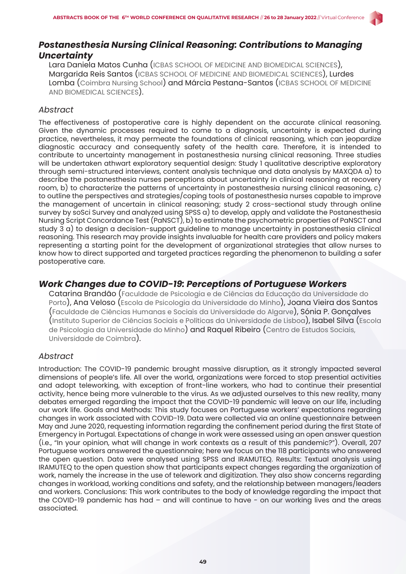

# *Postanesthesia Nursing Clinical Reasoning: Contributions to Managing Uncertainty*

Lara Daniela Matos Cunha (ICBAS SCHOOL OF MEDICINE AND BIOMEDICAL SCIENCES), Margarida Reis Santos (ICBAS SCHOOL OF MEDICINE AND BIOMEDICAL SCIENCES), Lurdes Lomba (Coimbra Nursing School) and Márcia Pestana-Santos (ICBAS SCHOOL OF MEDICINE AND BIOMEDICAL SCIENCES).

#### *Abstract*

The effectiveness of postoperative care is highly dependent on the accurate clinical reasoning. Given the dynamic processes required to come to a diagnosis, uncertainty is expected during practice, nevertheless, it may permeate the foundations of clinical reasoning, which can jeopardize diagnostic accuracy and consequently safety of the health care. Therefore, it is intended to contribute to uncertainty management in postanesthesia nursing clinical reasoning. Three studies will be undertaken athwart exploratory sequential design: Study 1 qualitative descriptive exploratory through semi-structured interviews, content analysis technique and data analysis by MAXQDA a) to describe the postanesthesia nurses perceptions about uncertainty in clinical reasoning at recovery room, b) to characterize the patterns of uncertainty in postanesthesia nursing clinical reasoning, c) to outline the perspectives and strategies/coping tools of postanesthesia nurses capable to improve the management of uncertain in clinical reasoning; study 2 cross-sectional study through online survey by soSci Survey and analyzed using SPSS a) to develop, apply and validate the Postanesthesia Nursing Script Concordance Test (PaNSCT), b) to estimate the psychometric properties of PaNSCT and study 3 a) to design a decision-support guideline to manage uncertainty in postanesthesia clinical reasoning. This research may provide insights invaluable for health care providers and policy makers representing a starting point for the development of organizational strategies that allow nurses to know how to direct supported and targeted practices regarding the phenomenon to building a safer postoperative care.

# *Work Changes due to COVID-19: Perceptions of Portuguese Workers*

Catarina Brandão (Faculdade de Psicologia e de Ciências da Educação da Universidade do Porto), Ana Veloso (Escola de Psicologia da Universidade do Minho), Joana Vieira dos Santos (Faculdade de Ciências Humanas e Sociais da Universidade do Algarve), Sónia P. Gonçalves (Instituto Superior de Ciências Sociais e Políticas da Universidade de Lisboa), Isabel Silva (Escola de Psicologia da Universidade do Minho) and Raquel Ribeiro (Centro de Estudos Sociais, Universidade de Coimbra).

# *Abstract*

Introduction: The COVID-19 pandemic brought massive disruption, as it strongly impacted several dimensions of people's life. All over the world, organizations were forced to stop presential activities and adopt teleworking, with exception of front-line workers, who had to continue their presential activity, hence being more vulnerable to the virus. As we adjusted ourselves to this new reality, many debates emerged regarding the impact that the COVID-19 pandemic will leave on our life, including our work life. Goals and Methods: This study focuses on Portuguese workers' expectations regarding changes in work associated with COVID-19. Data were collected via an online questionnaire between May and June 2020, requesting information regarding the confinement period during the first State of Emergency in Portugal. Expectations of change in work were assessed using an open answer question (i.e., "In your opinion, what will change in work contexts as a result of this pandemic?"). Overall, 207 Portuguese workers answered the questionnaire; here we focus on the 118 participants who answered the open question. Data were analysed using SPSS and IRAMUTEQ. Results: Textual analysis using IRAMUTEQ to the open question show that participants expect changes regarding the organization of work, namely the increase in the use of telework and digitization. They also show concerns regarding changes in workload, working conditions and safety, and the relationship between managers/leaders and workers. Conclusions: This work contributes to the body of knowledge regarding the impact that the COVID-19 pandemic has had – and will continue to have - on our working lives and the areas associated.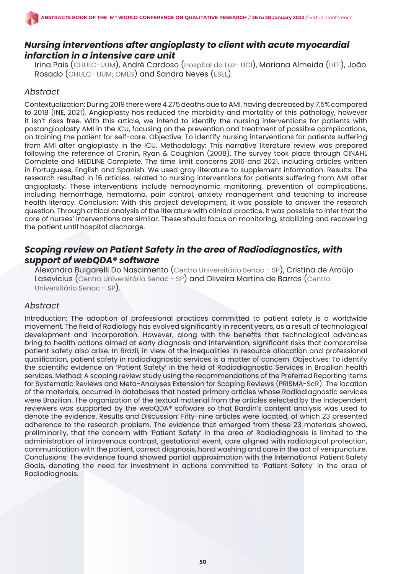# *Nursing interventions after angioplasty to client with acute myocardial infarction in a intensive care unit*

Irina Pais (CHULC-UUM), André Cardoso (Hospital da Luz- UCI), Mariana Almeida (HFF), João Rosado (CHULC- UUM; OMES) and Sandra Neves (ESEL).

#### *Abstract*

Contextualization: During 2019 there were 4 275 deaths due to AMI, having decreased by 7.5% compared to 2018 (INE, 2021). Angioplasty has reduced the morbidity and mortality of this pathology, however it isn't risks free. With this article, we intend to identify the nursing interventions for patients with postangioplasty AMI in the ICU, focusing on the prevention and treatment of possible complications, on training the patient for self-care. Objective: To identify nursing interventions for patients suffering from AMI after angioplasty in the ICU. Methodology: This narrative literature review was prepared following the reference of Cronin, Ryan & Coughlan (2008). The survey took place through CINAHL Complete and MEDLINE Complete. The time limit concerns 2016 and 2021, including articles written in Portuguese, English and Spanish. We used gray literature to supplement information. Results: The research resulted in 16 articles, related to nursing interventions for patients suffering from AMI after angioplasty. These interventions include hemodynamic monitoring, prevention of complications, including hemorrhage, hematoma, pain control, anxiety management and teaching to increase health literacy. Conclusion: With this project development, it was possible to answer the research question. Through critical analysis of the literature with clinical practice, it was possible to infer that the core of nurses' interventions are similar. These should focus on monitoring, stabilizing and recovering the patient until hospital discharge.

# *Scoping review on Patient Safety in the area of Radiodiagnostics, with support of webQDA® software*

Alexandra Bulgarelli Do Nascimento (Centro Universitário Senac - SP), Cristina de Araújo Lasevicius (Centro Universitário Senac - SP) and Oliveira Martins de Barros (Centro Universitário Senac - SP).

#### *Abstract*

Introduction: The adoption of professional practices committed to patient safety is a worldwide movement. The field of Radiology has evolved significantly in recent years, as a result of technological development and incorporation. However, along with the benefits that technological advances bring to health actions aimed at early diagnosis and intervention, significant risks that compromise patient safety also arise. In Brazil, in view of the inequalities in resource allocation and professional qualification, patient safety in radiodiagnostic services is a matter of concern. Objectives: To identify the scientific evidence on 'Patient Safety' in the field of Radiodiagnostic Services in Brazilian health services. Method: A scoping review study using the recommendations of the Preferred Reporting Items for Systematic Reviews and Meta-Analyses Extension for Scoping Reviews (PRISMA-ScR). The location of the materials, occurred in databases that hosted primary articles whose Radiodiagnostic services were Brazilian. The organization of the textual material from the articles selected by the independent reviewers was supported by the webQDA® software so that Bardin's content analysis was used to denote the evidence. Results and Discussion: Fifty-nine articles were located, of which 23 presented adherence to the research problem. The evidence that emerged from these 23 materials showed, preliminarily, that the concern with 'Patient Safety' in the area of Radiodiagnosis is limited to the administration of intravenous contrast, gestational event, care aligned with radiological protection, communication with the patient, correct diagnosis, hand washing and care in the act of venipuncture. Conclusions: The evidence found showed partial approximation with the International Patient Safety Goals, denoting the need for investment in actions committed to 'Patient Safety' in the area of Radiodiagnosis.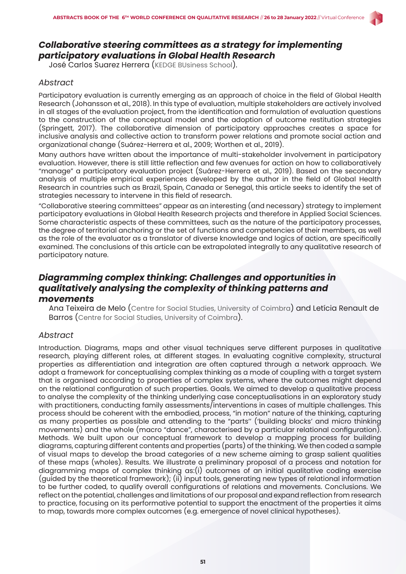

# *Collaborative steering committees as a strategy for implementing participatory evaluations in Global Health Research*

José Carlos Suarez Herrera (KEDGE BUsiness School).

### *Abstract*

Participatory evaluation is currently emerging as an approach of choice in the field of Global Health Research (Johansson et al., 2018). In this type of evaluation, multiple stakeholders are actively involved in all stages of the evaluation project, from the identification and formulation of evaluation questions to the construction of the conceptual model and the adoption of outcome restitution strategies (Springett, 2017). The collaborative dimension of participatory approaches creates a space for inclusive analysis and collective action to transform power relations and promote social action and organizational change (Suárez-Herrera et al., 2009; Worthen et al., 2019).

Many authors have written about the importance of multi-stakeholder involvement in participatory evaluation. However, there is still little reflection and few avenues for action on how to collaboratively "manage" a participatory evaluation project (Suárez-Herrera et al., 2019). Based on the secondary analysis of multiple empirical experiences developed by the author in the field of Global Health Research in countries such as Brazil, Spain, Canada or Senegal, this article seeks to identify the set of strategies necessary to intervene in this field of research.

"Collaborative steering committees" appear as an interesting (and necessary) strategy to implement participatory evaluations in Global Health Research projects and therefore in Applied Social Sciences. Some characteristic aspects of these committees, such as the nature of the participatory processes, the degree of territorial anchoring or the set of functions and competencies of their members, as well as the role of the evaluator as a translator of diverse knowledge and logics of action, are specifically examined. The conclusions of this article can be extrapolated integrally to any qualitative research of participatory nature.

# *Diagramming complex thinking: Challenges and opportunities in qualitatively analysing the complexity of thinking patterns and movements*

Ana Teixeira de Melo (Centre for Social Studies, University of Coimbra) and Letícia Renault de Barros (Centre for Social Studies, University of Coimbra).

#### *Abstract*

Introduction. Diagrams, maps and other visual techniques serve different purposes in qualitative research, playing different roles, at different stages. In evaluating cognitive complexity, structural properties as differentiation and integration are often captured through a network approach. We adopt a framework for conceptualising complex thinking as a mode of coupling with a target system that is organised according to properties of complex systems, where the outcomes might depend on the relational configuration of such properties. Goals. We aimed to develop a qualitative process to analyse the complexity of the thinking underlying case conceptualisations in an exploratory study with practitioners, conducting family assessments/interventions in cases of multiple challenges. This process should be coherent with the embodied, process, "in motion" nature of the thinking, capturing as many properties as possible and attending to the "parts'' ('building blocks' and micro thinking movements) and the whole (macro "dance", characterised by a particular relational configuration). Methods. We built upon our conceptual framework to develop a mapping process for building diagrams, capturing different contents and properties (parts) of the thinking. We then coded a sample of visual maps to develop the broad categories of a new scheme aiming to grasp salient qualities of these maps (wholes). Results. We illustrate a preliminary proposal of a process and notation for diagramming maps of complex thinking as:(i) outcomes of an initial qualitative coding exercise (guided by the theoretical framework); (ii) input tools, generating new types of relational information to be further coded, to qualify overall configurations of relations and movements. Conclusions. We reflect on the potential, challenges and limitations of our proposal and expand reflection from research to practice, focusing on its performative potential to support the enactment of the properties it aims to map, towards more complex outcomes (e.g. emergence of novel clinical hypotheses).